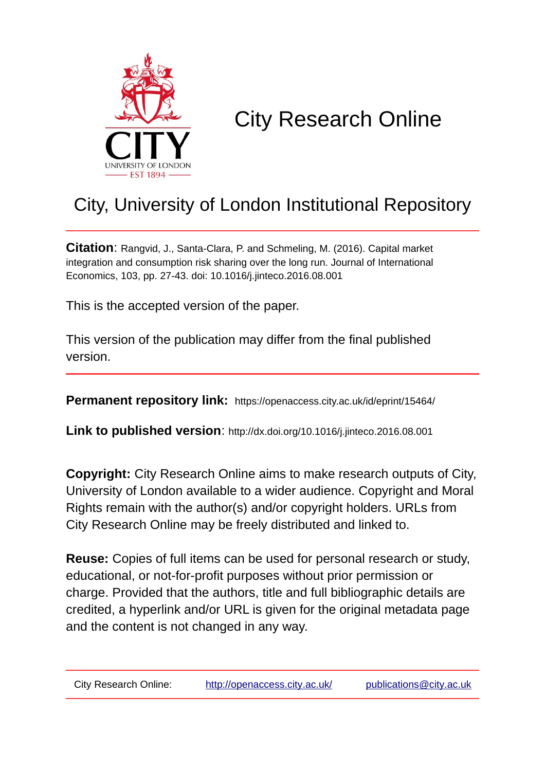

# City Research Online

# City, University of London Institutional Repository

**Citation**: Rangvid, J., Santa-Clara, P. and Schmeling, M. (2016). Capital market integration and consumption risk sharing over the long run. Journal of International Economics, 103, pp. 27-43. doi: 10.1016/j.jinteco.2016.08.001

This is the accepted version of the paper.

This version of the publication may differ from the final published version.

**Permanent repository link:** https://openaccess.city.ac.uk/id/eprint/15464/

**Link to published version**: http://dx.doi.org/10.1016/j.jinteco.2016.08.001

**Copyright:** City Research Online aims to make research outputs of City, University of London available to a wider audience. Copyright and Moral Rights remain with the author(s) and/or copyright holders. URLs from City Research Online may be freely distributed and linked to.

**Reuse:** Copies of full items can be used for personal research or study, educational, or not-for-profit purposes without prior permission or charge. Provided that the authors, title and full bibliographic details are credited, a hyperlink and/or URL is given for the original metadata page and the content is not changed in any way.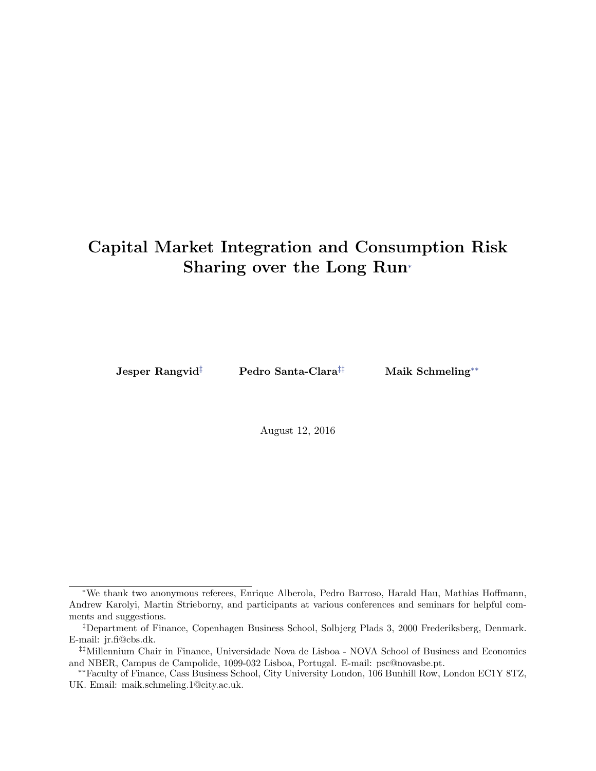# Capital Market Integration and Consumption Risk Sharing over the Long Run[∗](#page-1-0)

Jesper Rangvid[‡](#page-1-1) Pedro Santa-Clara[‡‡](#page-1-2) Maik Schmeling[∗∗](#page-1-3)

August 12, 2016

<span id="page-1-0"></span><sup>∗</sup>We thank two anonymous referees, Enrique Alberola, Pedro Barroso, Harald Hau, Mathias Hoffmann, Andrew Karolyi, Martin Strieborny, and participants at various conferences and seminars for helpful comments and suggestions.

<span id="page-1-1"></span><sup>‡</sup>Department of Finance, Copenhagen Business School, Solbjerg Plads 3, 2000 Frederiksberg, Denmark. E-mail: jr.fi@cbs.dk.

<span id="page-1-2"></span><sup>‡‡</sup>Millennium Chair in Finance, Universidade Nova de Lisboa - NOVA School of Business and Economics and NBER, Campus de Campolide, 1099-032 Lisboa, Portugal. E-mail: psc@novasbe.pt.

<span id="page-1-3"></span><sup>∗∗</sup>Faculty of Finance, Cass Business School, City University London, 106 Bunhill Row, London EC1Y 8TZ, UK. Email: maik.schmeling.1@city.ac.uk.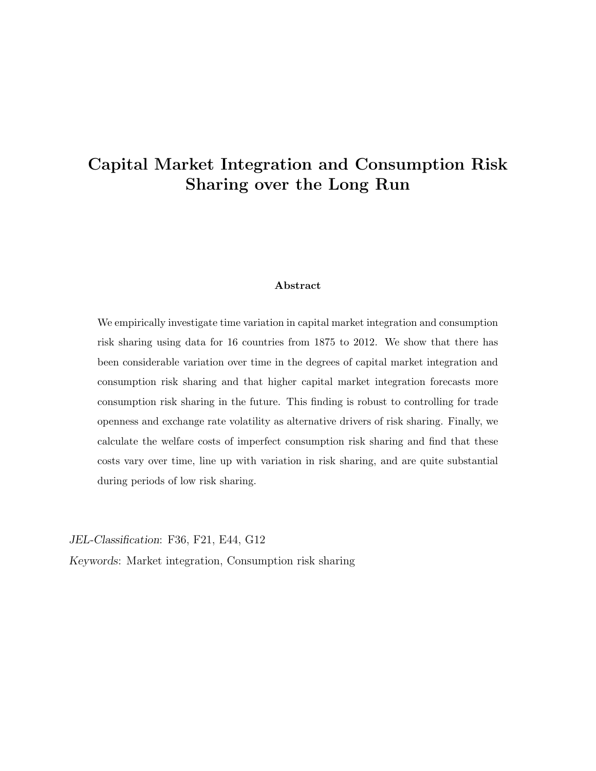# Capital Market Integration and Consumption Risk Sharing over the Long Run

#### Abstract

We empirically investigate time variation in capital market integration and consumption risk sharing using data for 16 countries from 1875 to 2012. We show that there has been considerable variation over time in the degrees of capital market integration and consumption risk sharing and that higher capital market integration forecasts more consumption risk sharing in the future. This finding is robust to controlling for trade openness and exchange rate volatility as alternative drivers of risk sharing. Finally, we calculate the welfare costs of imperfect consumption risk sharing and find that these costs vary over time, line up with variation in risk sharing, and are quite substantial during periods of low risk sharing.

JEL-Classification: F36, F21, E44, G12 Keywords: Market integration, Consumption risk sharing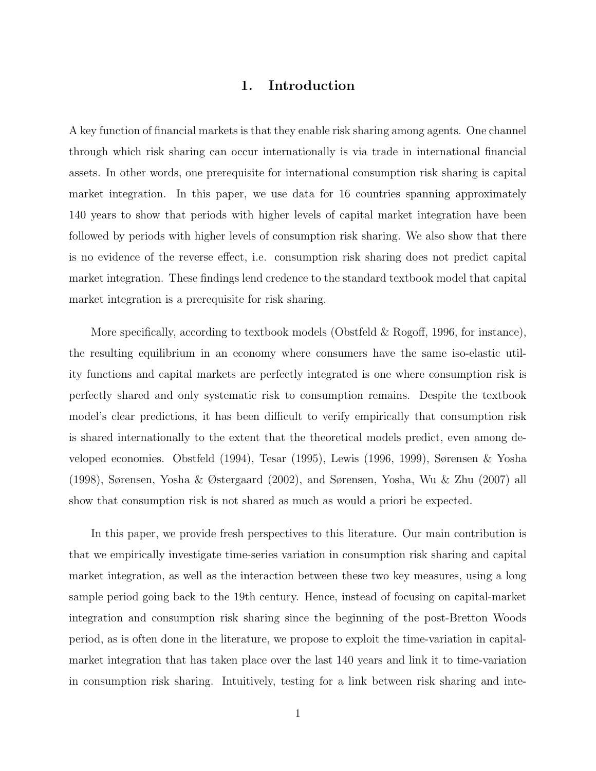# 1. Introduction

A key function of financial markets is that they enable risk sharing among agents. One channel through which risk sharing can occur internationally is via trade in international financial assets. In other words, one prerequisite for international consumption risk sharing is capital market integration. In this paper, we use data for 16 countries spanning approximately 140 years to show that periods with higher levels of capital market integration have been followed by periods with higher levels of consumption risk sharing. We also show that there is no evidence of the reverse effect, i.e. consumption risk sharing does not predict capital market integration. These findings lend credence to the standard textbook model that capital market integration is a prerequisite for risk sharing.

More specifically, according to textbook models (Obstfeld & Rogoff, 1996, for instance), the resulting equilibrium in an economy where consumers have the same iso-elastic utility functions and capital markets are perfectly integrated is one where consumption risk is perfectly shared and only systematic risk to consumption remains. Despite the textbook model's clear predictions, it has been difficult to verify empirically that consumption risk is shared internationally to the extent that the theoretical models predict, even among developed economies. Obstfeld (1994), Tesar (1995), Lewis (1996, 1999), Sørensen & Yosha (1998), Sørensen, Yosha & Østergaard (2002), and Sørensen, Yosha, Wu & Zhu (2007) all show that consumption risk is not shared as much as would a priori be expected.

In this paper, we provide fresh perspectives to this literature. Our main contribution is that we empirically investigate time-series variation in consumption risk sharing and capital market integration, as well as the interaction between these two key measures, using a long sample period going back to the 19th century. Hence, instead of focusing on capital-market integration and consumption risk sharing since the beginning of the post-Bretton Woods period, as is often done in the literature, we propose to exploit the time-variation in capitalmarket integration that has taken place over the last 140 years and link it to time-variation in consumption risk sharing. Intuitively, testing for a link between risk sharing and inte-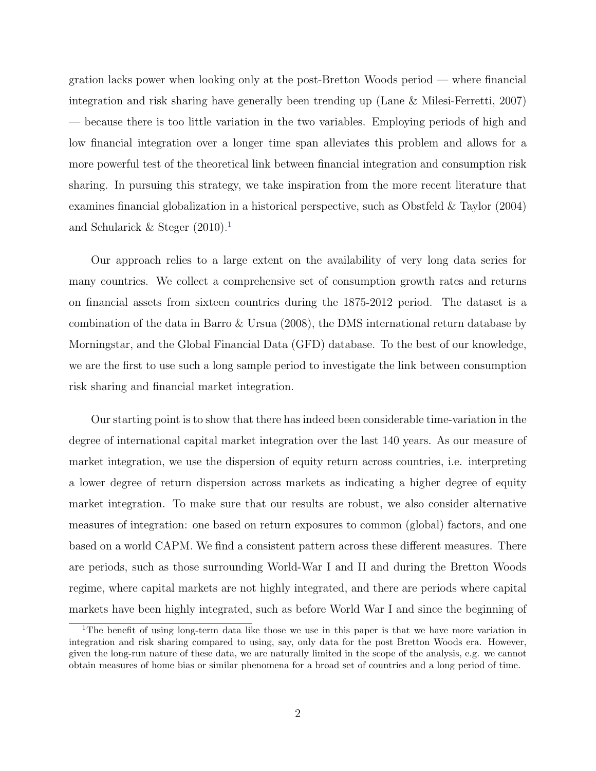gration lacks power when looking only at the post-Bretton Woods period — where financial integration and risk sharing have generally been trending up (Lane & Milesi-Ferretti, 2007) — because there is too little variation in the two variables. Employing periods of high and low financial integration over a longer time span alleviates this problem and allows for a more powerful test of the theoretical link between financial integration and consumption risk sharing. In pursuing this strategy, we take inspiration from the more recent literature that examines financial globalization in a historical perspective, such as Obstfeld & Taylor (2004) and Schularick & Steger  $(2010)^{1}$  $(2010)^{1}$  $(2010)^{1}$ 

Our approach relies to a large extent on the availability of very long data series for many countries. We collect a comprehensive set of consumption growth rates and returns on financial assets from sixteen countries during the 1875-2012 period. The dataset is a combination of the data in Barro & Ursua (2008), the DMS international return database by Morningstar, and the Global Financial Data (GFD) database. To the best of our knowledge, we are the first to use such a long sample period to investigate the link between consumption risk sharing and financial market integration.

Our starting point is to show that there has indeed been considerable time-variation in the degree of international capital market integration over the last 140 years. As our measure of market integration, we use the dispersion of equity return across countries, i.e. interpreting a lower degree of return dispersion across markets as indicating a higher degree of equity market integration. To make sure that our results are robust, we also consider alternative measures of integration: one based on return exposures to common (global) factors, and one based on a world CAPM. We find a consistent pattern across these different measures. There are periods, such as those surrounding World-War I and II and during the Bretton Woods regime, where capital markets are not highly integrated, and there are periods where capital markets have been highly integrated, such as before World War I and since the beginning of

<span id="page-4-0"></span><sup>1</sup>The benefit of using long-term data like those we use in this paper is that we have more variation in integration and risk sharing compared to using, say, only data for the post Bretton Woods era. However, given the long-run nature of these data, we are naturally limited in the scope of the analysis, e.g. we cannot obtain measures of home bias or similar phenomena for a broad set of countries and a long period of time.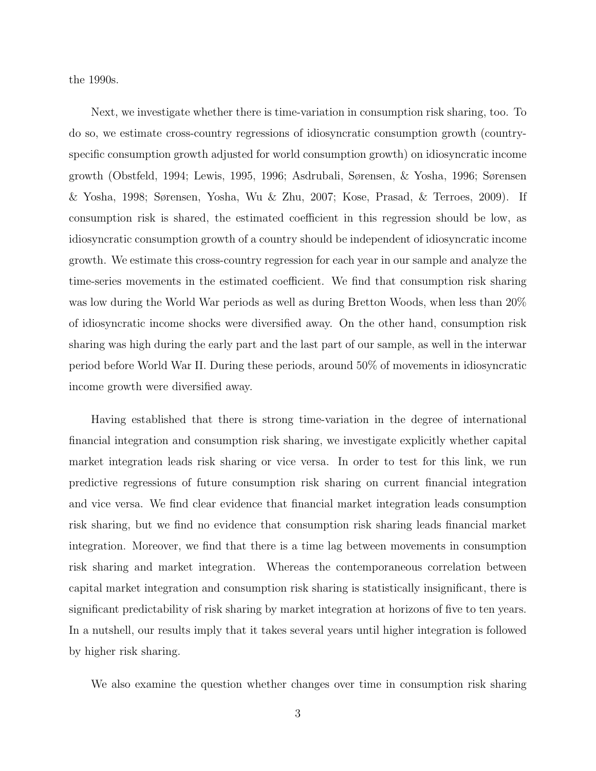the 1990s.

Next, we investigate whether there is time-variation in consumption risk sharing, too. To do so, we estimate cross-country regressions of idiosyncratic consumption growth (countryspecific consumption growth adjusted for world consumption growth) on idiosyncratic income growth (Obstfeld, 1994; Lewis, 1995, 1996; Asdrubali, Sørensen, & Yosha, 1996; Sørensen & Yosha, 1998; Sørensen, Yosha, Wu & Zhu, 2007; Kose, Prasad, & Terroes, 2009). If consumption risk is shared, the estimated coefficient in this regression should be low, as idiosyncratic consumption growth of a country should be independent of idiosyncratic income growth. We estimate this cross-country regression for each year in our sample and analyze the time-series movements in the estimated coefficient. We find that consumption risk sharing was low during the World War periods as well as during Bretton Woods, when less than 20% of idiosyncratic income shocks were diversified away. On the other hand, consumption risk sharing was high during the early part and the last part of our sample, as well in the interwar period before World War II. During these periods, around 50% of movements in idiosyncratic income growth were diversified away.

Having established that there is strong time-variation in the degree of international financial integration and consumption risk sharing, we investigate explicitly whether capital market integration leads risk sharing or vice versa. In order to test for this link, we run predictive regressions of future consumption risk sharing on current financial integration and vice versa. We find clear evidence that financial market integration leads consumption risk sharing, but we find no evidence that consumption risk sharing leads financial market integration. Moreover, we find that there is a time lag between movements in consumption risk sharing and market integration. Whereas the contemporaneous correlation between capital market integration and consumption risk sharing is statistically insignificant, there is significant predictability of risk sharing by market integration at horizons of five to ten years. In a nutshell, our results imply that it takes several years until higher integration is followed by higher risk sharing.

We also examine the question whether changes over time in consumption risk sharing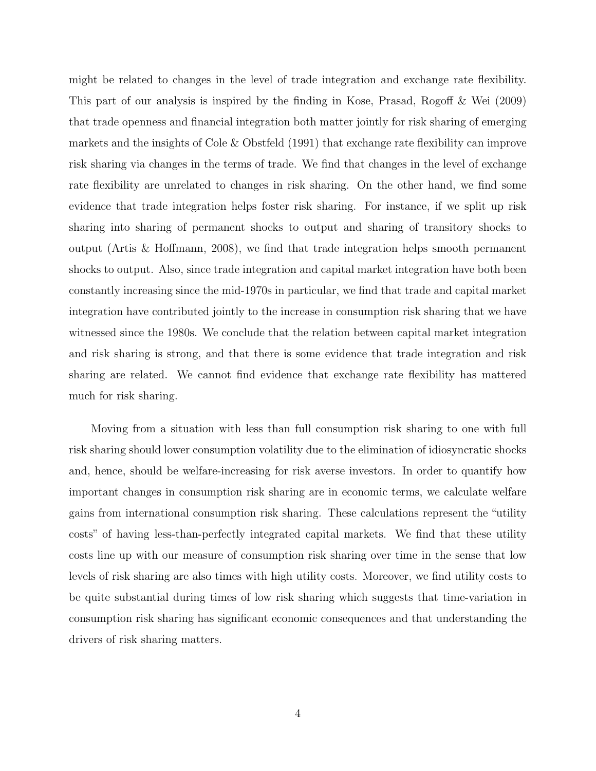might be related to changes in the level of trade integration and exchange rate flexibility. This part of our analysis is inspired by the finding in Kose, Prasad, Rogoff & Wei (2009) that trade openness and financial integration both matter jointly for risk sharing of emerging markets and the insights of Cole & Obstfeld (1991) that exchange rate flexibility can improve risk sharing via changes in the terms of trade. We find that changes in the level of exchange rate flexibility are unrelated to changes in risk sharing. On the other hand, we find some evidence that trade integration helps foster risk sharing. For instance, if we split up risk sharing into sharing of permanent shocks to output and sharing of transitory shocks to output (Artis & Hoffmann, 2008), we find that trade integration helps smooth permanent shocks to output. Also, since trade integration and capital market integration have both been constantly increasing since the mid-1970s in particular, we find that trade and capital market integration have contributed jointly to the increase in consumption risk sharing that we have witnessed since the 1980s. We conclude that the relation between capital market integration and risk sharing is strong, and that there is some evidence that trade integration and risk sharing are related. We cannot find evidence that exchange rate flexibility has mattered much for risk sharing.

Moving from a situation with less than full consumption risk sharing to one with full risk sharing should lower consumption volatility due to the elimination of idiosyncratic shocks and, hence, should be welfare-increasing for risk averse investors. In order to quantify how important changes in consumption risk sharing are in economic terms, we calculate welfare gains from international consumption risk sharing. These calculations represent the "utility costs" of having less-than-perfectly integrated capital markets. We find that these utility costs line up with our measure of consumption risk sharing over time in the sense that low levels of risk sharing are also times with high utility costs. Moreover, we find utility costs to be quite substantial during times of low risk sharing which suggests that time-variation in consumption risk sharing has significant economic consequences and that understanding the drivers of risk sharing matters.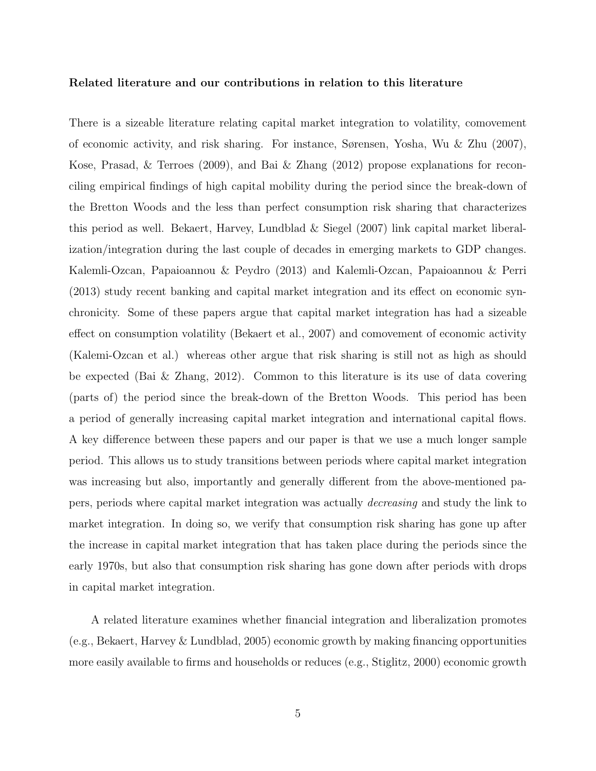### Related literature and our contributions in relation to this literature

There is a sizeable literature relating capital market integration to volatility, comovement of economic activity, and risk sharing. For instance, Sørensen, Yosha, Wu & Zhu (2007), Kose, Prasad, & Terroes (2009), and Bai & Zhang (2012) propose explanations for reconciling empirical findings of high capital mobility during the period since the break-down of the Bretton Woods and the less than perfect consumption risk sharing that characterizes this period as well. Bekaert, Harvey, Lundblad & Siegel (2007) link capital market liberalization/integration during the last couple of decades in emerging markets to GDP changes. Kalemli-Ozcan, Papaioannou & Peydro (2013) and Kalemli-Ozcan, Papaioannou & Perri (2013) study recent banking and capital market integration and its effect on economic synchronicity. Some of these papers argue that capital market integration has had a sizeable effect on consumption volatility (Bekaert et al., 2007) and comovement of economic activity (Kalemi-Ozcan et al.) whereas other argue that risk sharing is still not as high as should be expected (Bai & Zhang, 2012). Common to this literature is its use of data covering (parts of) the period since the break-down of the Bretton Woods. This period has been a period of generally increasing capital market integration and international capital flows. A key difference between these papers and our paper is that we use a much longer sample period. This allows us to study transitions between periods where capital market integration was increasing but also, importantly and generally different from the above-mentioned papers, periods where capital market integration was actually decreasing and study the link to market integration. In doing so, we verify that consumption risk sharing has gone up after the increase in capital market integration that has taken place during the periods since the early 1970s, but also that consumption risk sharing has gone down after periods with drops in capital market integration.

A related literature examines whether financial integration and liberalization promotes (e.g., Bekaert, Harvey & Lundblad, 2005) economic growth by making financing opportunities more easily available to firms and households or reduces (e.g., Stiglitz, 2000) economic growth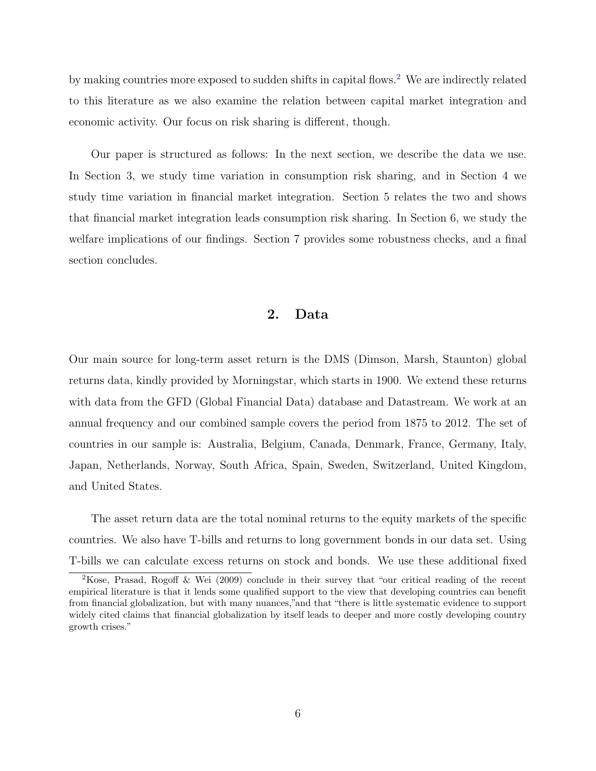by making countries more exposed to sudden shifts in capital flows.<sup>[2](#page-8-0)</sup> We are indirectly related to this literature as we also examine the relation between capital market integration and economic activity. Our focus on risk sharing is different, though.

Our paper is structured as follows: In the next section, we describe the data we use. In Section 3, we study time variation in consumption risk sharing, and in Section 4 we study time variation in financial market integration. Section 5 relates the two and shows that financial market integration leads consumption risk sharing. In Section 6, we study the welfare implications of our findings. Section 7 provides some robustness checks, and a final section concludes.

### 2. Data

Our main source for long-term asset return is the DMS (Dimson, Marsh, Staunton) global returns data, kindly provided by Morningstar, which starts in 1900. We extend these returns with data from the GFD (Global Financial Data) database and Datastream. We work at an annual frequency and our combined sample covers the period from 1875 to 2012. The set of countries in our sample is: Australia, Belgium, Canada, Denmark, France, Germany, Italy, Japan, Netherlands, Norway, South Africa, Spain, Sweden, Switzerland, United Kingdom, and United States.

The asset return data are the total nominal returns to the equity markets of the specific countries. We also have T-bills and returns to long government bonds in our data set. Using T-bills we can calculate excess returns on stock and bonds. We use these additional fixed

<span id="page-8-0"></span><sup>2</sup>Kose, Prasad, Rogoff & Wei (2009) conclude in their survey that "our critical reading of the recent empirical literature is that it lends some qualified support to the view that developing countries can benefit from financial globalization, but with many nuances,"and that "there is little systematic evidence to support widely cited claims that financial globalization by itself leads to deeper and more costly developing country growth crises."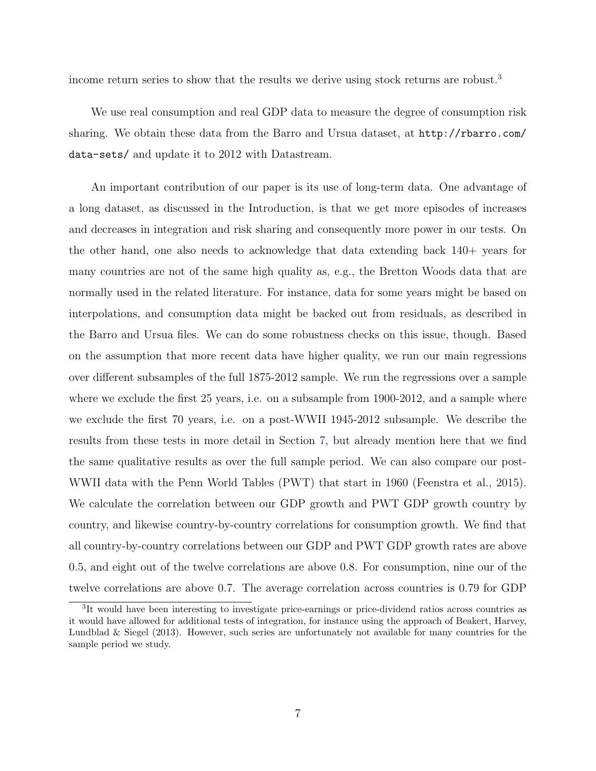income return series to show that the results we derive using stock returns are robust.<sup>[3](#page-9-0)</sup>

We use real consumption and real GDP data to measure the degree of consumption risk sharing. We obtain these data from the Barro and Ursua dataset, at [http://rbarro.com/](http://rbarro.com/data-sets/) [data-sets/](http://rbarro.com/data-sets/) and update it to 2012 with Datastream.

An important contribution of our paper is its use of long-term data. One advantage of a long dataset, as discussed in the Introduction, is that we get more episodes of increases and decreases in integration and risk sharing and consequently more power in our tests. On the other hand, one also needs to acknowledge that data extending back 140+ years for many countries are not of the same high quality as, e.g., the Bretton Woods data that are normally used in the related literature. For instance, data for some years might be based on interpolations, and consumption data might be backed out from residuals, as described in the Barro and Ursua files. We can do some robustness checks on this issue, though. Based on the assumption that more recent data have higher quality, we run our main regressions over different subsamples of the full 1875-2012 sample. We run the regressions over a sample where we exclude the first 25 years, i.e. on a subsample from 1900-2012, and a sample where we exclude the first 70 years, i.e. on a post-WWII 1945-2012 subsample. We describe the results from these tests in more detail in Section [7,](#page-27-0) but already mention here that we find the same qualitative results as over the full sample period. We can also compare our post-WWII data with the Penn World Tables (PWT) that start in 1960 (Feenstra et al., 2015). We calculate the correlation between our GDP growth and PWT GDP growth country by country, and likewise country-by-country correlations for consumption growth. We find that all country-by-country correlations between our GDP and PWT GDP growth rates are above 0.5, and eight out of the twelve correlations are above 0.8. For consumption, nine our of the twelve correlations are above 0.7. The average correlation across countries is 0.79 for GDP

<span id="page-9-0"></span><sup>&</sup>lt;sup>3</sup>It would have been interesting to investigate price-earnings or price-dividend ratios across countries as it would have allowed for additional tests of integration, for instance using the approach of Beakert, Harvey, Lundblad & Siegel (2013). However, such series are unfortunately not available for many countries for the sample period we study.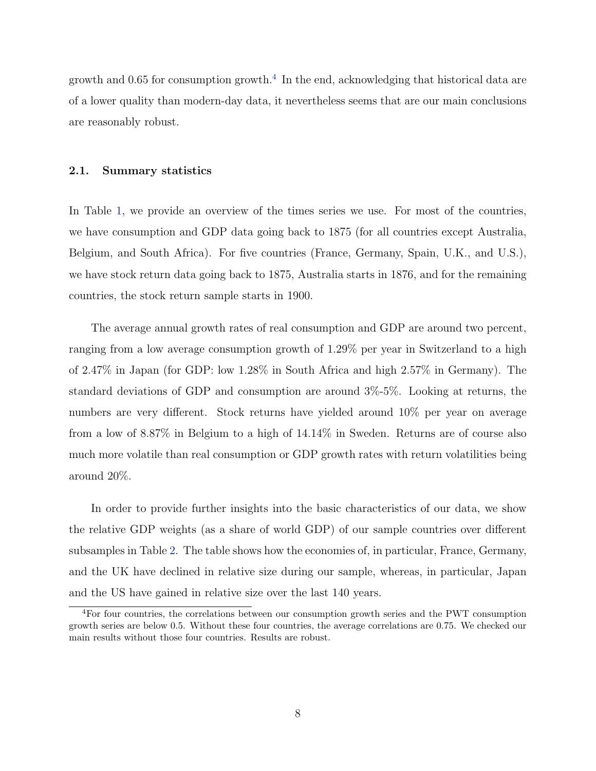growth and 0.65 for consumption growth.<sup>[4](#page-10-0)</sup> In the end, acknowledging that historical data are of a lower quality than modern-day data, it nevertheless seems that are our main conclusions are reasonably robust.

### 2.1. Summary statistics

In Table [1,](#page-35-0) we provide an overview of the times series we use. For most of the countries, we have consumption and GDP data going back to 1875 (for all countries except Australia, Belgium, and South Africa). For five countries (France, Germany, Spain, U.K., and U.S.), we have stock return data going back to 1875, Australia starts in 1876, and for the remaining countries, the stock return sample starts in 1900.

The average annual growth rates of real consumption and GDP are around two percent, ranging from a low average consumption growth of 1.29% per year in Switzerland to a high of 2.47% in Japan (for GDP: low 1.28% in South Africa and high 2.57% in Germany). The standard deviations of GDP and consumption are around 3%-5%. Looking at returns, the numbers are very different. Stock returns have yielded around 10% per year on average from a low of 8.87% in Belgium to a high of 14.14% in Sweden. Returns are of course also much more volatile than real consumption or GDP growth rates with return volatilities being around 20%.

In order to provide further insights into the basic characteristics of our data, we show the relative GDP weights (as a share of world GDP) of our sample countries over different subsamples in Table [2.](#page-36-0) The table shows how the economies of, in particular, France, Germany, and the UK have declined in relative size during our sample, whereas, in particular, Japan and the US have gained in relative size over the last 140 years.

<span id="page-10-0"></span><sup>4</sup>For four countries, the correlations between our consumption growth series and the PWT consumption growth series are below 0.5. Without these four countries, the average correlations are 0.75. We checked our main results without those four countries. Results are robust.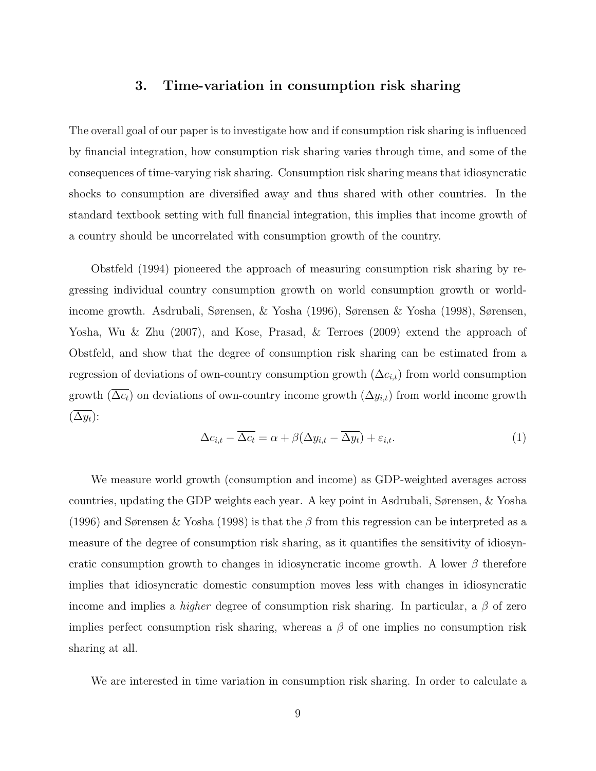### 3. Time-variation in consumption risk sharing

<span id="page-11-1"></span>The overall goal of our paper is to investigate how and if consumption risk sharing is influenced by financial integration, how consumption risk sharing varies through time, and some of the consequences of time-varying risk sharing. Consumption risk sharing means that idiosyncratic shocks to consumption are diversified away and thus shared with other countries. In the standard textbook setting with full financial integration, this implies that income growth of a country should be uncorrelated with consumption growth of the country.

Obstfeld (1994) pioneered the approach of measuring consumption risk sharing by regressing individual country consumption growth on world consumption growth or worldincome growth. Asdrubali, Sørensen, & Yosha (1996), Sørensen & Yosha (1998), Sørensen, Yosha, Wu & Zhu (2007), and Kose, Prasad, & Terroes (2009) extend the approach of Obstfeld, and show that the degree of consumption risk sharing can be estimated from a regression of deviations of own-country consumption growth  $(\Delta c_{i,t})$  from world consumption growth  $(\overline{\Delta c_t})$  on deviations of own-country income growth  $(\Delta y_{i,t})$  from world income growth  $(\Delta y_t)$ :

<span id="page-11-0"></span>
$$
\Delta c_{i,t} - \overline{\Delta c_t} = \alpha + \beta(\Delta y_{i,t} - \overline{\Delta y_t}) + \varepsilon_{i,t}.
$$
\n(1)

We measure world growth (consumption and income) as GDP-weighted averages across countries, updating the GDP weights each year. A key point in Asdrubali, Sørensen, & Yosha (1996) and Sørensen & Yosha (1998) is that the  $\beta$  from this regression can be interpreted as a measure of the degree of consumption risk sharing, as it quantifies the sensitivity of idiosyncratic consumption growth to changes in idiosyncratic income growth. A lower  $\beta$  therefore implies that idiosyncratic domestic consumption moves less with changes in idiosyncratic income and implies a *higher* degree of consumption risk sharing. In particular, a  $\beta$  of zero implies perfect consumption risk sharing, whereas a  $\beta$  of one implies no consumption risk sharing at all.

We are interested in time variation in consumption risk sharing. In order to calculate a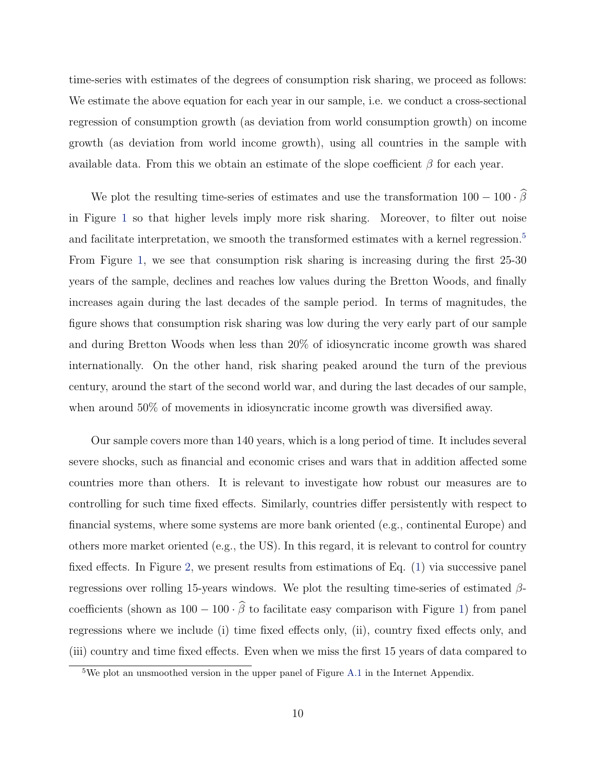time-series with estimates of the degrees of consumption risk sharing, we proceed as follows: We estimate the above equation for each year in our sample, i.e. we conduct a cross-sectional regression of consumption growth (as deviation from world consumption growth) on income growth (as deviation from world income growth), using all countries in the sample with available data. From this we obtain an estimate of the slope coefficient  $\beta$  for each year.

We plot the resulting time-series of estimates and use the transformation  $100 - 100 \cdot \hat{\beta}$ in Figure [1](#page-44-0) so that higher levels imply more risk sharing. Moreover, to filter out noise and facilitate interpretation, we smooth the transformed estimates with a kernel regression.<sup>[5](#page-12-0)</sup> From Figure [1,](#page-44-0) we see that consumption risk sharing is increasing during the first 25-30 years of the sample, declines and reaches low values during the Bretton Woods, and finally increases again during the last decades of the sample period. In terms of magnitudes, the figure shows that consumption risk sharing was low during the very early part of our sample and during Bretton Woods when less than 20% of idiosyncratic income growth was shared internationally. On the other hand, risk sharing peaked around the turn of the previous century, around the start of the second world war, and during the last decades of our sample, when around 50% of movements in idiosyncratic income growth was diversified away.

Our sample covers more than 140 years, which is a long period of time. It includes several severe shocks, such as financial and economic crises and wars that in addition affected some countries more than others. It is relevant to investigate how robust our measures are to controlling for such time fixed effects. Similarly, countries differ persistently with respect to financial systems, where some systems are more bank oriented (e.g., continental Europe) and others more market oriented (e.g., the US). In this regard, it is relevant to control for country fixed effects. In Figure [2,](#page-45-0) we present results from estimations of Eq. [\(1\)](#page-11-0) via successive panel regressions over rolling 15-years windows. We plot the resulting time-series of estimated βcoefficients (shown as  $100 - 100 \cdot \hat{\beta}$  to facilitate easy comparison with Figure [1\)](#page-44-0) from panel regressions where we include (i) time fixed effects only, (ii), country fixed effects only, and (iii) country and time fixed effects. Even when we miss the first 15 years of data compared to

<span id="page-12-0"></span><sup>&</sup>lt;sup>5</sup>We plot an unsmoothed version in the upper panel of Figure [A.1](#page-57-0) in the Internet Appendix.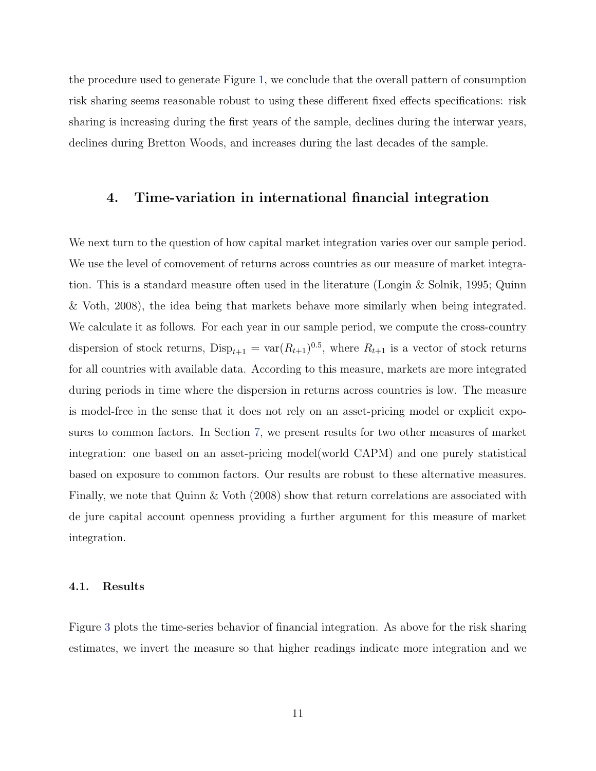the procedure used to generate Figure [1,](#page-44-0) we conclude that the overall pattern of consumption risk sharing seems reasonable robust to using these different fixed effects specifications: risk sharing is increasing during the first years of the sample, declines during the interwar years, declines during Bretton Woods, and increases during the last decades of the sample.

### 4. Time-variation in international financial integration

We next turn to the question of how capital market integration varies over our sample period. We use the level of comovement of returns across countries as our measure of market integration. This is a standard measure often used in the literature (Longin & Solnik, 1995; Quinn & Voth, 2008), the idea being that markets behave more similarly when being integrated. We calculate it as follows. For each year in our sample period, we compute the cross-country dispersion of stock returns,  $\text{Disp}_{t+1} = \text{var}(R_{t+1})^{0.5}$ , where  $R_{t+1}$  is a vector of stock returns for all countries with available data. According to this measure, markets are more integrated during periods in time where the dispersion in returns across countries is low. The measure is model-free in the sense that it does not rely on an asset-pricing model or explicit exposures to common factors. In Section [7,](#page-27-0) we present results for two other measures of market integration: one based on an asset-pricing model(world CAPM) and one purely statistical based on exposure to common factors. Our results are robust to these alternative measures. Finally, we note that Quinn & Voth (2008) show that return correlations are associated with de jure capital account openness providing a further argument for this measure of market integration.

### 4.1. Results

Figure [3](#page-46-0) plots the time-series behavior of financial integration. As above for the risk sharing estimates, we invert the measure so that higher readings indicate more integration and we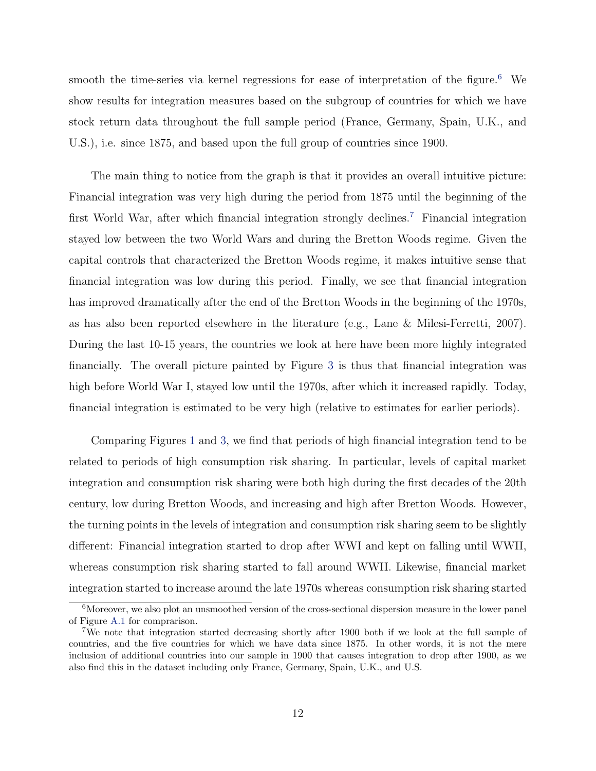smooth the time-series via kernel regressions for ease of interpretation of the figure.<sup>[6](#page-14-0)</sup> We show results for integration measures based on the subgroup of countries for which we have stock return data throughout the full sample period (France, Germany, Spain, U.K., and U.S.), i.e. since 1875, and based upon the full group of countries since 1900.

The main thing to notice from the graph is that it provides an overall intuitive picture: Financial integration was very high during the period from 1875 until the beginning of the first World War, after which financial integration strongly declines.<sup>[7](#page-14-1)</sup> Financial integration stayed low between the two World Wars and during the Bretton Woods regime. Given the capital controls that characterized the Bretton Woods regime, it makes intuitive sense that financial integration was low during this period. Finally, we see that financial integration has improved dramatically after the end of the Bretton Woods in the beginning of the 1970s, as has also been reported elsewhere in the literature (e.g., Lane & Milesi-Ferretti, 2007). During the last 10-15 years, the countries we look at here have been more highly integrated financially. The overall picture painted by Figure [3](#page-46-0) is thus that financial integration was high before World War I, stayed low until the 1970s, after which it increased rapidly. Today, financial integration is estimated to be very high (relative to estimates for earlier periods).

Comparing Figures [1](#page-44-0) and [3,](#page-46-0) we find that periods of high financial integration tend to be related to periods of high consumption risk sharing. In particular, levels of capital market integration and consumption risk sharing were both high during the first decades of the 20th century, low during Bretton Woods, and increasing and high after Bretton Woods. However, the turning points in the levels of integration and consumption risk sharing seem to be slightly different: Financial integration started to drop after WWI and kept on falling until WWII, whereas consumption risk sharing started to fall around WWII. Likewise, financial market integration started to increase around the late 1970s whereas consumption risk sharing started

<span id="page-14-0"></span><sup>&</sup>lt;sup>6</sup>Moreover, we also plot an unsmoothed version of the cross-sectional dispersion measure in the lower panel of Figure [A.1](#page-57-0) for comprarison.

<span id="page-14-1"></span><sup>7</sup>We note that integration started decreasing shortly after 1900 both if we look at the full sample of countries, and the five countries for which we have data since 1875. In other words, it is not the mere inclusion of additional countries into our sample in 1900 that causes integration to drop after 1900, as we also find this in the dataset including only France, Germany, Spain, U.K., and U.S.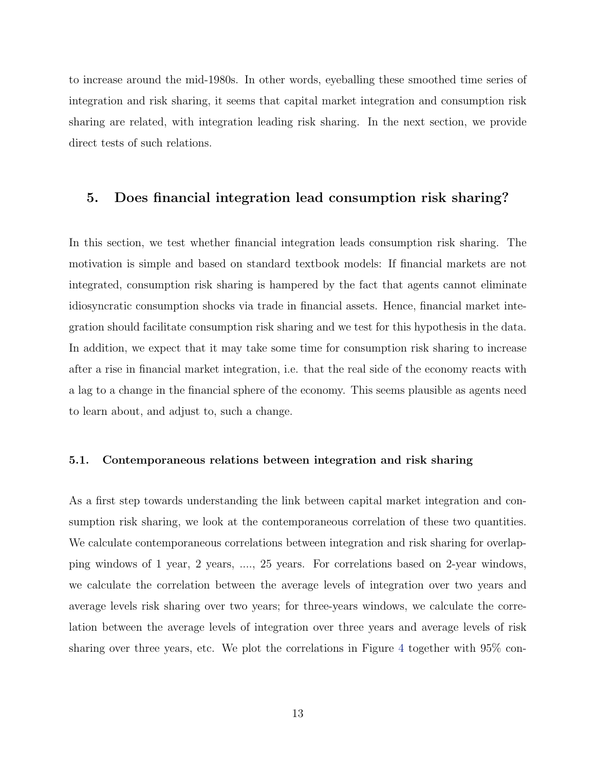to increase around the mid-1980s. In other words, eyeballing these smoothed time series of integration and risk sharing, it seems that capital market integration and consumption risk sharing are related, with integration leading risk sharing. In the next section, we provide direct tests of such relations.

### 5. Does financial integration lead consumption risk sharing?

In this section, we test whether financial integration leads consumption risk sharing. The motivation is simple and based on standard textbook models: If financial markets are not integrated, consumption risk sharing is hampered by the fact that agents cannot eliminate idiosyncratic consumption shocks via trade in financial assets. Hence, financial market integration should facilitate consumption risk sharing and we test for this hypothesis in the data. In addition, we expect that it may take some time for consumption risk sharing to increase after a rise in financial market integration, i.e. that the real side of the economy reacts with a lag to a change in the financial sphere of the economy. This seems plausible as agents need to learn about, and adjust to, such a change.

### 5.1. Contemporaneous relations between integration and risk sharing

As a first step towards understanding the link between capital market integration and consumption risk sharing, we look at the contemporaneous correlation of these two quantities. We calculate contemporaneous correlations between integration and risk sharing for overlapping windows of 1 year, 2 years, ...., 25 years. For correlations based on 2-year windows, we calculate the correlation between the average levels of integration over two years and average levels risk sharing over two years; for three-years windows, we calculate the correlation between the average levels of integration over three years and average levels of risk sharing over three years, etc. We plot the correlations in Figure [4](#page-47-0) together with 95% con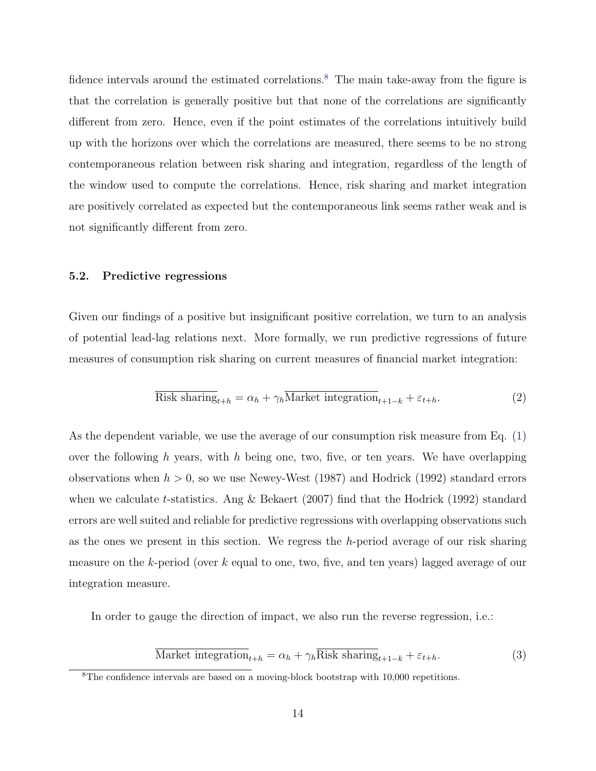fidence intervals around the estimated correlations.<sup>[8](#page-16-0)</sup> The main take-away from the figure is that the correlation is generally positive but that none of the correlations are significantly different from zero. Hence, even if the point estimates of the correlations intuitively build up with the horizons over which the correlations are measured, there seems to be no strong contemporaneous relation between risk sharing and integration, regardless of the length of the window used to compute the correlations. Hence, risk sharing and market integration are positively correlated as expected but the contemporaneous link seems rather weak and is not significantly different from zero.

#### 5.2. Predictive regressions

Given our findings of a positive but insignificant positive correlation, we turn to an analysis of potential lead-lag relations next. More formally, we run predictive regressions of future measures of consumption risk sharing on current measures of financial market integration:

$$
\overline{\text{Risk sharing}}_{t+h} = \alpha_h + \gamma_h \overline{\text{Market integration}}_{t+1-k} + \varepsilon_{t+h}.\tag{2}
$$

As the dependent variable, we use the average of our consumption risk measure from Eq. [\(1\)](#page-11-0) over the following  $h$  years, with  $h$  being one, two, five, or ten years. We have overlapping observations when  $h > 0$ , so we use Newey-West (1987) and Hodrick (1992) standard errors when we calculate t-statistics. Ang  $\&$  Bekaert (2007) find that the Hodrick (1992) standard errors are well suited and reliable for predictive regressions with overlapping observations such as the ones we present in this section. We regress the  $h$ -period average of our risk sharing measure on the k-period (over  $k$  equal to one, two, five, and ten years) lagged average of our integration measure.

In order to gauge the direction of impact, we also run the reverse regression, i.e.:

$$
\overline{\text{Market integration}}_{t+h} = \alpha_h + \gamma_h \overline{\text{Risk sharing}}_{t+1-k} + \varepsilon_{t+h}.\tag{3}
$$

<span id="page-16-0"></span><sup>&</sup>lt;sup>8</sup>The confidence intervals are based on a moving-block bootstrap with 10,000 repetitions.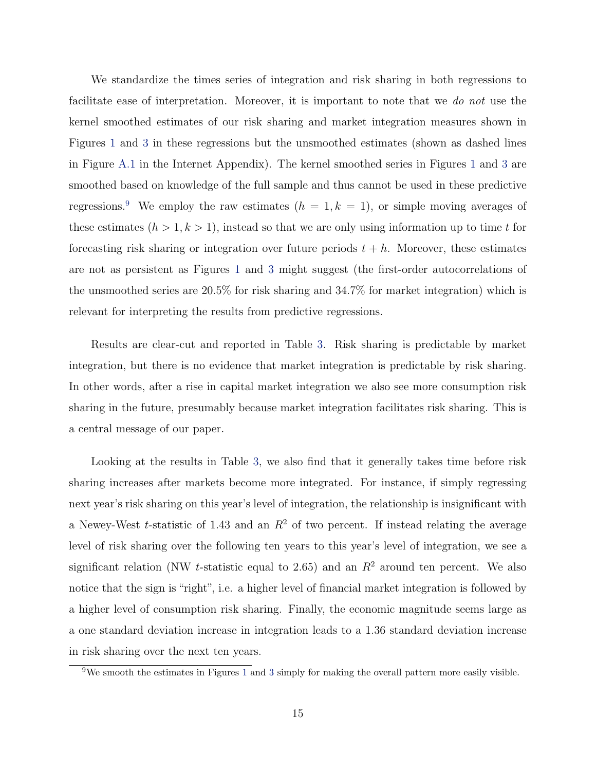We standardize the times series of integration and risk sharing in both regressions to facilitate ease of interpretation. Moreover, it is important to note that we do not use the kernel smoothed estimates of our risk sharing and market integration measures shown in Figures [1](#page-44-0) and [3](#page-46-0) in these regressions but the unsmoothed estimates (shown as dashed lines in Figure [A.1](#page-57-0) in the Internet Appendix). The kernel smoothed series in Figures [1](#page-44-0) and [3](#page-46-0) are smoothed based on knowledge of the full sample and thus cannot be used in these predictive regressions.<sup>[9](#page-17-0)</sup> We employ the raw estimates  $(h = 1, k = 1)$ , or simple moving averages of these estimates  $(h > 1, k > 1)$ , instead so that we are only using information up to time t for forecasting risk sharing or integration over future periods  $t + h$ . Moreover, these estimates are not as persistent as Figures [1](#page-44-0) and [3](#page-46-0) might suggest (the first-order autocorrelations of the unsmoothed series are 20.5% for risk sharing and 34.7% for market integration) which is relevant for interpreting the results from predictive regressions.

Results are clear-cut and reported in Table [3.](#page-37-0) Risk sharing is predictable by market integration, but there is no evidence that market integration is predictable by risk sharing. In other words, after a rise in capital market integration we also see more consumption risk sharing in the future, presumably because market integration facilitates risk sharing. This is a central message of our paper.

Looking at the results in Table [3,](#page-37-0) we also find that it generally takes time before risk sharing increases after markets become more integrated. For instance, if simply regressing next year's risk sharing on this year's level of integration, the relationship is insignificant with a Newey-West t-statistic of 1.43 and an  $R^2$  of two percent. If instead relating the average level of risk sharing over the following ten years to this year's level of integration, we see a significant relation (NW t-statistic equal to 2.65) and an  $R^2$  around ten percent. We also notice that the sign is "right", i.e. a higher level of financial market integration is followed by a higher level of consumption risk sharing. Finally, the economic magnitude seems large as a one standard deviation increase in integration leads to a 1.36 standard deviation increase in risk sharing over the next ten years.

<span id="page-17-0"></span> $9$ We smooth the estimates in Figures [1](#page-44-0) and [3](#page-46-0) simply for making the overall pattern more easily visible.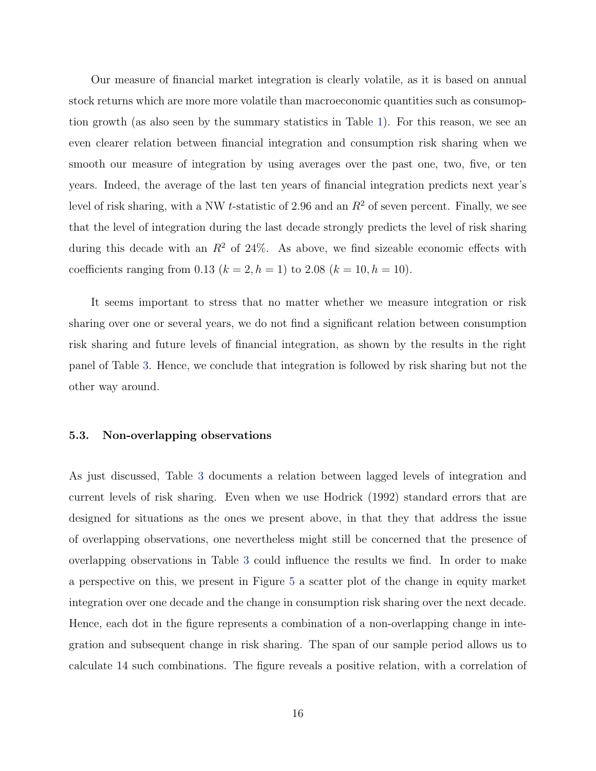Our measure of financial market integration is clearly volatile, as it is based on annual stock returns which are more more volatile than macroeconomic quantities such as consumoption growth (as also seen by the summary statistics in Table [1\)](#page-35-0). For this reason, we see an even clearer relation between financial integration and consumption risk sharing when we smooth our measure of integration by using averages over the past one, two, five, or ten years. Indeed, the average of the last ten years of financial integration predicts next year's level of risk sharing, with a NW t-statistic of 2.96 and an  $R^2$  of seven percent. Finally, we see that the level of integration during the last decade strongly predicts the level of risk sharing during this decade with an  $R^2$  of 24%. As above, we find sizeable economic effects with coefficients ranging from 0.13  $(k = 2, h = 1)$  to 2.08  $(k = 10, h = 10)$ .

It seems important to stress that no matter whether we measure integration or risk sharing over one or several years, we do not find a significant relation between consumption risk sharing and future levels of financial integration, as shown by the results in the right panel of Table [3.](#page-37-0) Hence, we conclude that integration is followed by risk sharing but not the other way around.

#### 5.3. Non-overlapping observations

As just discussed, Table [3](#page-37-0) documents a relation between lagged levels of integration and current levels of risk sharing. Even when we use Hodrick (1992) standard errors that are designed for situations as the ones we present above, in that they that address the issue of overlapping observations, one nevertheless might still be concerned that the presence of overlapping observations in Table [3](#page-37-0) could influence the results we find. In order to make a perspective on this, we present in Figure [5](#page-48-0) a scatter plot of the change in equity market integration over one decade and the change in consumption risk sharing over the next decade. Hence, each dot in the figure represents a combination of a non-overlapping change in integration and subsequent change in risk sharing. The span of our sample period allows us to calculate 14 such combinations. The figure reveals a positive relation, with a correlation of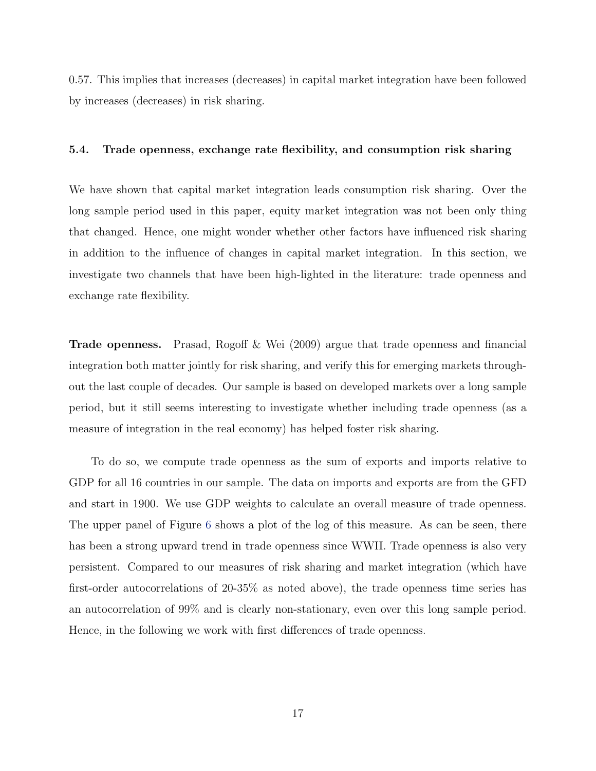0.57. This implies that increases (decreases) in capital market integration have been followed by increases (decreases) in risk sharing.

### 5.4. Trade openness, exchange rate flexibility, and consumption risk sharing

We have shown that capital market integration leads consumption risk sharing. Over the long sample period used in this paper, equity market integration was not been only thing that changed. Hence, one might wonder whether other factors have influenced risk sharing in addition to the influence of changes in capital market integration. In this section, we investigate two channels that have been high-lighted in the literature: trade openness and exchange rate flexibility.

Trade openness. Prasad, Rogoff & Wei (2009) argue that trade openness and financial integration both matter jointly for risk sharing, and verify this for emerging markets throughout the last couple of decades. Our sample is based on developed markets over a long sample period, but it still seems interesting to investigate whether including trade openness (as a measure of integration in the real economy) has helped foster risk sharing.

To do so, we compute trade openness as the sum of exports and imports relative to GDP for all 16 countries in our sample. The data on imports and exports are from the GFD and start in 1900. We use GDP weights to calculate an overall measure of trade openness. The upper panel of Figure [6](#page-49-0) shows a plot of the log of this measure. As can be seen, there has been a strong upward trend in trade openness since WWII. Trade openness is also very persistent. Compared to our measures of risk sharing and market integration (which have first-order autocorrelations of 20-35% as noted above), the trade openness time series has an autocorrelation of 99% and is clearly non-stationary, even over this long sample period. Hence, in the following we work with first differences of trade openness.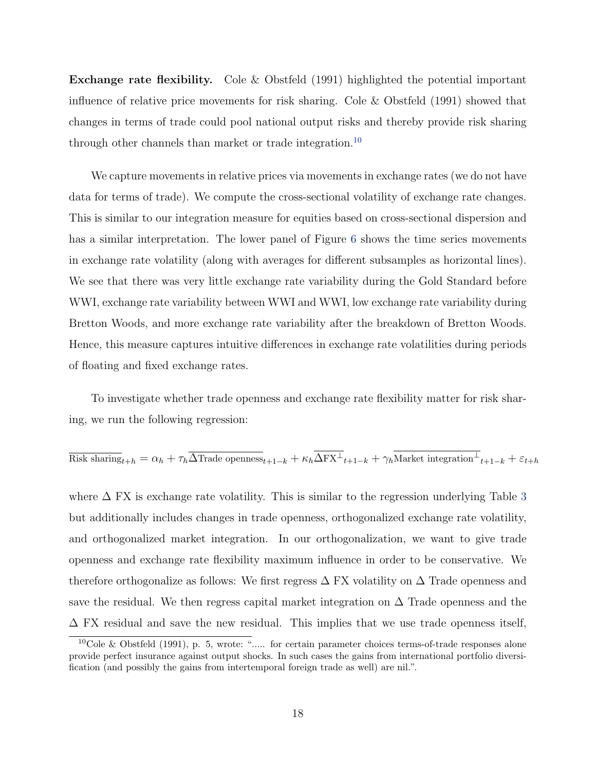Exchange rate flexibility. Cole & Obstfeld (1991) highlighted the potential important influence of relative price movements for risk sharing. Cole & Obstfeld (1991) showed that changes in terms of trade could pool national output risks and thereby provide risk sharing through other channels than market or trade integration.<sup>[10](#page-20-0)</sup>

We capture movements in relative prices via movements in exchange rates (we do not have data for terms of trade). We compute the cross-sectional volatility of exchange rate changes. This is similar to our integration measure for equities based on cross-sectional dispersion and has a similar interpretation. The lower panel of Figure [6](#page-49-0) shows the time series movements in exchange rate volatility (along with averages for different subsamples as horizontal lines). We see that there was very little exchange rate variability during the Gold Standard before WWI, exchange rate variability between WWI and WWI, low exchange rate variability during Bretton Woods, and more exchange rate variability after the breakdown of Bretton Woods. Hence, this measure captures intuitive differences in exchange rate volatilities during periods of floating and fixed exchange rates.

To investigate whether trade openness and exchange rate flexibility matter for risk sharing, we run the following regression:

Risk sharing<sub>t+h</sub> = 
$$
\alpha_h + \tau_h \overline{\Delta \text{Trace openness}}_{t+1-k} + \kappa_h \overline{\Delta \text{FX}^{\perp}}_{t+1-k} + \gamma_h \overline{\text{Market integration}^{\perp}}_{t+1-k} + \varepsilon_{t+h}
$$

where  $\Delta$  FX is exchange rate volatility. This is similar to the regression underlying Table [3](#page-37-0) but additionally includes changes in trade openness, orthogonalized exchange rate volatility, and orthogonalized market integration. In our orthogonalization, we want to give trade openness and exchange rate flexibility maximum influence in order to be conservative. We therefore orthogonalize as follows: We first regress  $\Delta$  FX volatility on  $\Delta$  Trade openness and save the residual. We then regress capital market integration on  $\Delta$  Trade openness and the  $\Delta$  FX residual and save the new residual. This implies that we use trade openness itself,

<span id="page-20-0"></span> $10$ Cole & Obstfeld (1991), p. 5, wrote: "..... for certain parameter choices terms-of-trade responses alone provide perfect insurance against output shocks. In such cases the gains from international portfolio diversification (and possibly the gains from intertemporal foreign trade as well) are nil.".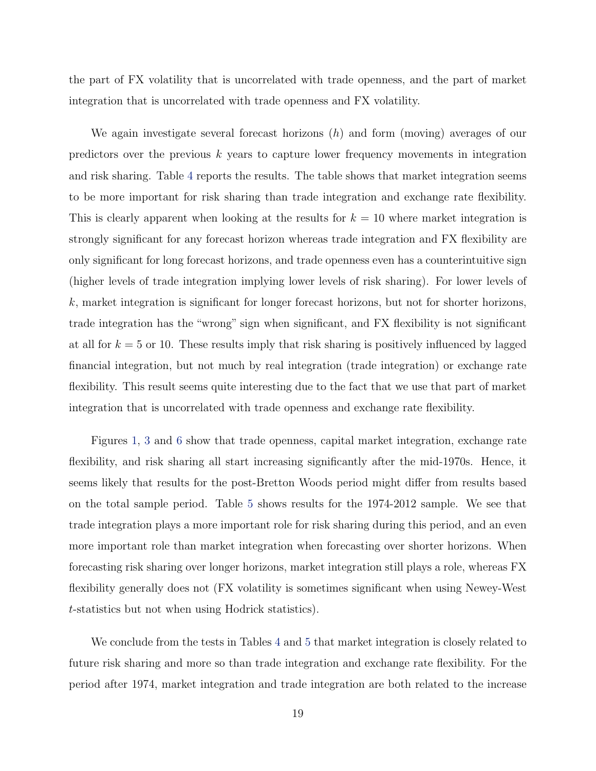the part of FX volatility that is uncorrelated with trade openness, and the part of market integration that is uncorrelated with trade openness and FX volatility.

We again investigate several forecast horizons  $(h)$  and form (moving) averages of our predictors over the previous  $k$  years to capture lower frequency movements in integration and risk sharing. Table [4](#page-38-0) reports the results. The table shows that market integration seems to be more important for risk sharing than trade integration and exchange rate flexibility. This is clearly apparent when looking at the results for  $k = 10$  where market integration is strongly significant for any forecast horizon whereas trade integration and FX flexibility are only significant for long forecast horizons, and trade openness even has a counterintuitive sign (higher levels of trade integration implying lower levels of risk sharing). For lower levels of k, market integration is significant for longer forecast horizons, but not for shorter horizons, trade integration has the "wrong" sign when significant, and FX flexibility is not significant at all for  $k = 5$  or 10. These results imply that risk sharing is positively influenced by lagged financial integration, but not much by real integration (trade integration) or exchange rate flexibility. This result seems quite interesting due to the fact that we use that part of market integration that is uncorrelated with trade openness and exchange rate flexibility.

Figures [1,](#page-44-0) [3](#page-46-0) and [6](#page-49-0) show that trade openness, capital market integration, exchange rate flexibility, and risk sharing all start increasing significantly after the mid-1970s. Hence, it seems likely that results for the post-Bretton Woods period might differ from results based on the total sample period. Table [5](#page-39-0) shows results for the 1974-2012 sample. We see that trade integration plays a more important role for risk sharing during this period, and an even more important role than market integration when forecasting over shorter horizons. When forecasting risk sharing over longer horizons, market integration still plays a role, whereas FX flexibility generally does not (FX volatility is sometimes significant when using Newey-West t-statistics but not when using Hodrick statistics).

We conclude from the tests in Tables [4](#page-38-0) and [5](#page-39-0) that market integration is closely related to future risk sharing and more so than trade integration and exchange rate flexibility. For the period after 1974, market integration and trade integration are both related to the increase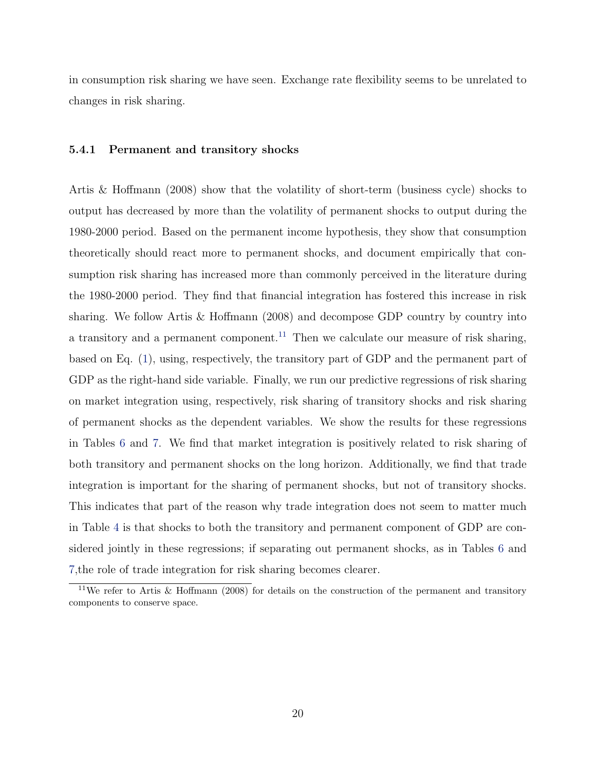in consumption risk sharing we have seen. Exchange rate flexibility seems to be unrelated to changes in risk sharing.

### <span id="page-22-1"></span>5.4.1 Permanent and transitory shocks

Artis & Hoffmann (2008) show that the volatility of short-term (business cycle) shocks to output has decreased by more than the volatility of permanent shocks to output during the 1980-2000 period. Based on the permanent income hypothesis, they show that consumption theoretically should react more to permanent shocks, and document empirically that consumption risk sharing has increased more than commonly perceived in the literature during the 1980-2000 period. They find that financial integration has fostered this increase in risk sharing. We follow Artis & Hoffmann (2008) and decompose GDP country by country into a transitory and a permanent component.<sup>[11](#page-22-0)</sup> Then we calculate our measure of risk sharing, based on Eq. [\(1\)](#page-11-0), using, respectively, the transitory part of GDP and the permanent part of GDP as the right-hand side variable. Finally, we run our predictive regressions of risk sharing on market integration using, respectively, risk sharing of transitory shocks and risk sharing of permanent shocks as the dependent variables. We show the results for these regressions in Tables [6](#page-40-0) and [7.](#page-41-0) We find that market integration is positively related to risk sharing of both transitory and permanent shocks on the long horizon. Additionally, we find that trade integration is important for the sharing of permanent shocks, but not of transitory shocks. This indicates that part of the reason why trade integration does not seem to matter much in Table [4](#page-38-0) is that shocks to both the transitory and permanent component of GDP are considered jointly in these regressions; if separating out permanent shocks, as in Tables [6](#page-40-0) and [7,](#page-41-0)the role of trade integration for risk sharing becomes clearer.

<span id="page-22-0"></span><sup>11</sup>We refer to Artis & Hoffmann (2008) for details on the construction of the permanent and transitory components to conserve space.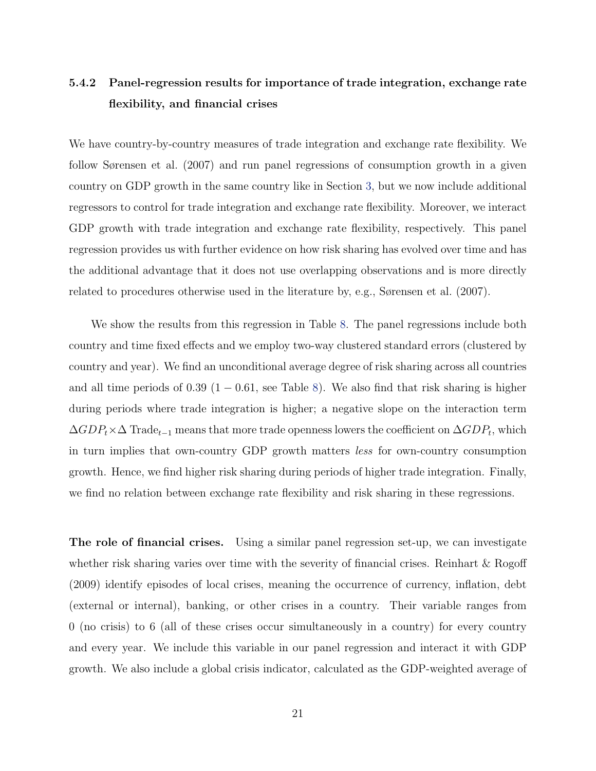# 5.4.2 Panel-regression results for importance of trade integration, exchange rate flexibility, and financial crises

We have country-by-country measures of trade integration and exchange rate flexibility. We follow Sørensen et al. (2007) and run panel regressions of consumption growth in a given country on GDP growth in the same country like in Section [3,](#page-11-1) but we now include additional regressors to control for trade integration and exchange rate flexibility. Moreover, we interact GDP growth with trade integration and exchange rate flexibility, respectively. This panel regression provides us with further evidence on how risk sharing has evolved over time and has the additional advantage that it does not use overlapping observations and is more directly related to procedures otherwise used in the literature by, e.g., Sørensen et al. (2007).

We show the results from this regression in Table [8.](#page-42-0) The panel regressions include both country and time fixed effects and we employ two-way clustered standard errors (clustered by country and year). We find an unconditional average degree of risk sharing across all countries and all time periods of  $0.39$  (1 – 0.61, see Table [8\)](#page-42-0). We also find that risk sharing is higher during periods where trade integration is higher; a negative slope on the interaction term  $\Delta GDP_t \times \Delta$  Trade<sub>t-1</sub> means that more trade openness lowers the coefficient on  $\Delta GDP_t$ , which in turn implies that own-country GDP growth matters less for own-country consumption growth. Hence, we find higher risk sharing during periods of higher trade integration. Finally, we find no relation between exchange rate flexibility and risk sharing in these regressions.

The role of financial crises. Using a similar panel regression set-up, we can investigate whether risk sharing varies over time with the severity of financial crises. Reinhart & Rogoff (2009) identify episodes of local crises, meaning the occurrence of currency, inflation, debt (external or internal), banking, or other crises in a country. Their variable ranges from 0 (no crisis) to 6 (all of these crises occur simultaneously in a country) for every country and every year. We include this variable in our panel regression and interact it with GDP growth. We also include a global crisis indicator, calculated as the GDP-weighted average of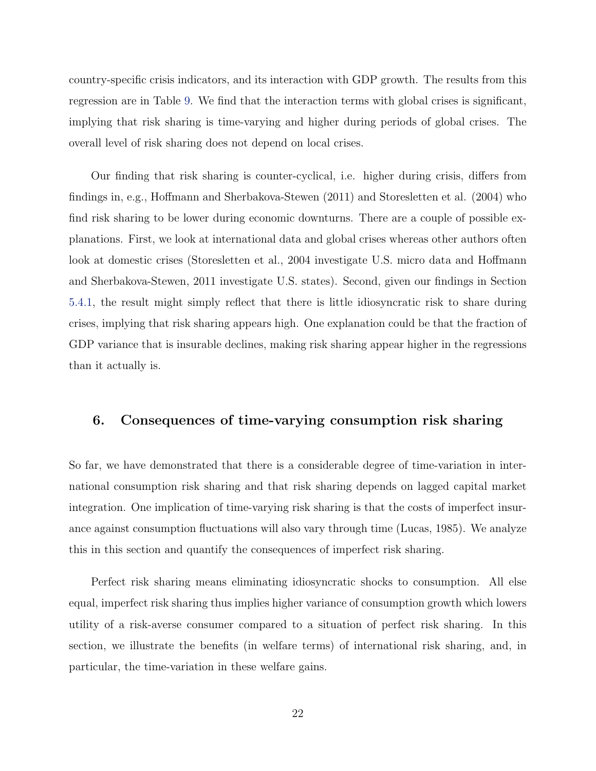country-specific crisis indicators, and its interaction with GDP growth. The results from this regression are in Table [9.](#page-43-0) We find that the interaction terms with global crises is significant, implying that risk sharing is time-varying and higher during periods of global crises. The overall level of risk sharing does not depend on local crises.

Our finding that risk sharing is counter-cyclical, i.e. higher during crisis, differs from findings in, e.g., Hoffmann and Sherbakova-Stewen (2011) and Storesletten et al. (2004) who find risk sharing to be lower during economic downturns. There are a couple of possible explanations. First, we look at international data and global crises whereas other authors often look at domestic crises (Storesletten et al., 2004 investigate U.S. micro data and Hoffmann and Sherbakova-Stewen, 2011 investigate U.S. states). Second, given our findings in Section [5.4.1,](#page-22-1) the result might simply reflect that there is little idiosyncratic risk to share during crises, implying that risk sharing appears high. One explanation could be that the fraction of GDP variance that is insurable declines, making risk sharing appear higher in the regressions than it actually is.

### 6. Consequences of time-varying consumption risk sharing

So far, we have demonstrated that there is a considerable degree of time-variation in international consumption risk sharing and that risk sharing depends on lagged capital market integration. One implication of time-varying risk sharing is that the costs of imperfect insurance against consumption fluctuations will also vary through time (Lucas, 1985). We analyze this in this section and quantify the consequences of imperfect risk sharing.

Perfect risk sharing means eliminating idiosyncratic shocks to consumption. All else equal, imperfect risk sharing thus implies higher variance of consumption growth which lowers utility of a risk-averse consumer compared to a situation of perfect risk sharing. In this section, we illustrate the benefits (in welfare terms) of international risk sharing, and, in particular, the time-variation in these welfare gains.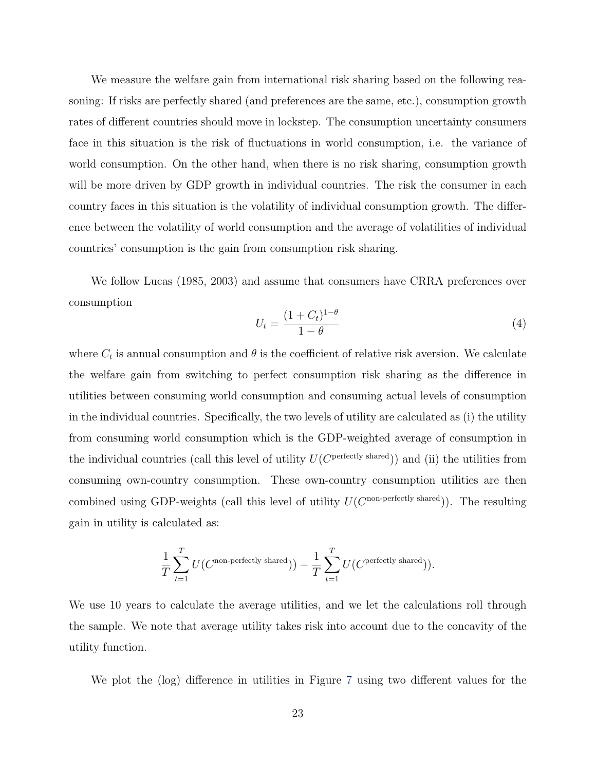We measure the welfare gain from international risk sharing based on the following reasoning: If risks are perfectly shared (and preferences are the same, etc.), consumption growth rates of different countries should move in lockstep. The consumption uncertainty consumers face in this situation is the risk of fluctuations in world consumption, i.e. the variance of world consumption. On the other hand, when there is no risk sharing, consumption growth will be more driven by GDP growth in individual countries. The risk the consumer in each country faces in this situation is the volatility of individual consumption growth. The difference between the volatility of world consumption and the average of volatilities of individual countries' consumption is the gain from consumption risk sharing.

We follow Lucas (1985, 2003) and assume that consumers have CRRA preferences over consumption

$$
U_t = \frac{(1 + C_t)^{1 - \theta}}{1 - \theta} \tag{4}
$$

where  $C_t$  is annual consumption and  $\theta$  is the coefficient of relative risk aversion. We calculate the welfare gain from switching to perfect consumption risk sharing as the difference in utilities between consuming world consumption and consuming actual levels of consumption in the individual countries. Specifically, the two levels of utility are calculated as (i) the utility from consuming world consumption which is the GDP-weighted average of consumption in the individual countries (call this level of utility  $U(C^{\text{perfectly shared}})$ ) and (ii) the utilities from consuming own-country consumption. These own-country consumption utilities are then combined using GDP-weights (call this level of utility  $U(C^{\text{non-perfectly shared}})$ ). The resulting gain in utility is calculated as:

$$
\frac{1}{T} \sum_{t=1}^{T} U(C^{\text{non-perfectly shared}})) - \frac{1}{T} \sum_{t=1}^{T} U(C^{\text{perfectly shared}})).
$$

We use 10 years to calculate the average utilities, and we let the calculations roll through the sample. We note that average utility takes risk into account due to the concavity of the utility function.

We plot the (log) difference in utilities in Figure [7](#page-50-0) using two different values for the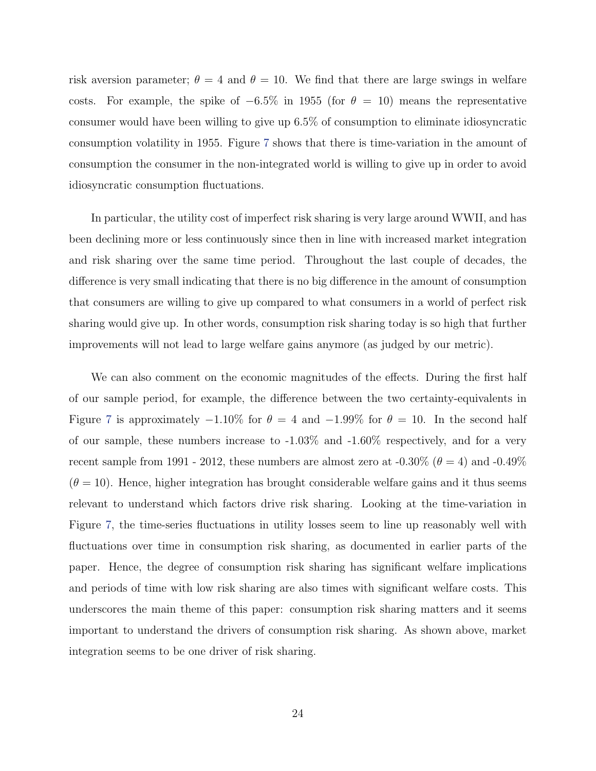risk aversion parameter;  $\theta = 4$  and  $\theta = 10$ . We find that there are large swings in welfare costs. For example, the spike of  $-6.5\%$  in 1955 (for  $\theta = 10$ ) means the representative consumer would have been willing to give up 6.5% of consumption to eliminate idiosyncratic consumption volatility in 1955. Figure [7](#page-50-0) shows that there is time-variation in the amount of consumption the consumer in the non-integrated world is willing to give up in order to avoid idiosyncratic consumption fluctuations.

In particular, the utility cost of imperfect risk sharing is very large around WWII, and has been declining more or less continuously since then in line with increased market integration and risk sharing over the same time period. Throughout the last couple of decades, the difference is very small indicating that there is no big difference in the amount of consumption that consumers are willing to give up compared to what consumers in a world of perfect risk sharing would give up. In other words, consumption risk sharing today is so high that further improvements will not lead to large welfare gains anymore (as judged by our metric).

We can also comment on the economic magnitudes of the effects. During the first half of our sample period, for example, the difference between the two certainty-equivalents in Figure [7](#page-50-0) is approximately  $-1.10\%$  for  $\theta = 4$  and  $-1.99\%$  for  $\theta = 10$ . In the second half of our sample, these numbers increase to -1.03% and -1.60% respectively, and for a very recent sample from 1991 - 2012, these numbers are almost zero at -0.30% ( $\theta = 4$ ) and -0.49%  $(\theta = 10)$ . Hence, higher integration has brought considerable welfare gains and it thus seems relevant to understand which factors drive risk sharing. Looking at the time-variation in Figure [7,](#page-50-0) the time-series fluctuations in utility losses seem to line up reasonably well with fluctuations over time in consumption risk sharing, as documented in earlier parts of the paper. Hence, the degree of consumption risk sharing has significant welfare implications and periods of time with low risk sharing are also times with significant welfare costs. This underscores the main theme of this paper: consumption risk sharing matters and it seems important to understand the drivers of consumption risk sharing. As shown above, market integration seems to be one driver of risk sharing.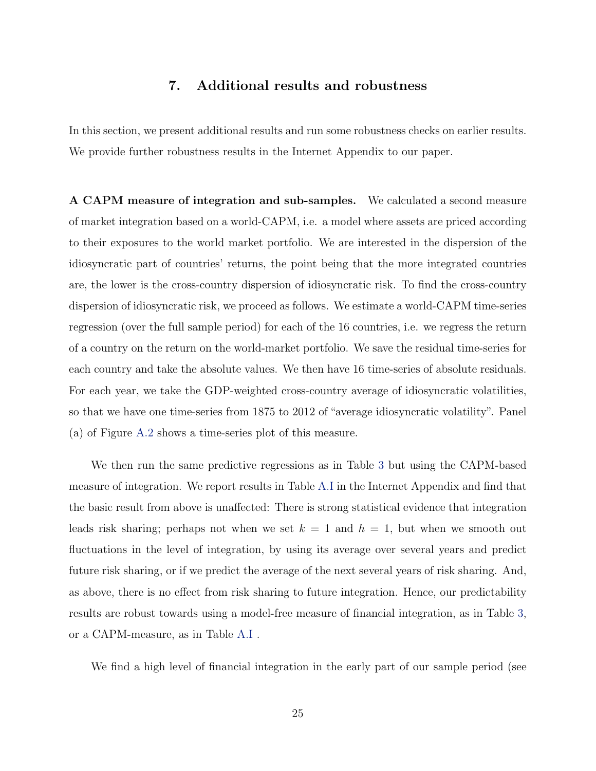# 7. Additional results and robustness

<span id="page-27-0"></span>In this section, we present additional results and run some robustness checks on earlier results. We provide further robustness results in the Internet Appendix to our paper.

A CAPM measure of integration and sub-samples. We calculated a second measure of market integration based on a world-CAPM, i.e. a model where assets are priced according to their exposures to the world market portfolio. We are interested in the dispersion of the idiosyncratic part of countries' returns, the point being that the more integrated countries are, the lower is the cross-country dispersion of idiosyncratic risk. To find the cross-country dispersion of idiosyncratic risk, we proceed as follows. We estimate a world-CAPM time-series regression (over the full sample period) for each of the 16 countries, i.e. we regress the return of a country on the return on the world-market portfolio. We save the residual time-series for each country and take the absolute values. We then have 16 time-series of absolute residuals. For each year, we take the GDP-weighted cross-country average of idiosyncratic volatilities, so that we have one time-series from 1875 to 2012 of "average idiosyncratic volatility". Panel (a) of Figure [A.2](#page-58-0) shows a time-series plot of this measure.

We then run the same predictive regressions as in Table [3](#page-37-0) but using the CAPM-based measure of integration. We report results in Table [A.I](#page-52-0) in the Internet Appendix and find that the basic result from above is unaffected: There is strong statistical evidence that integration leads risk sharing; perhaps not when we set  $k = 1$  and  $h = 1$ , but when we smooth out fluctuations in the level of integration, by using its average over several years and predict future risk sharing, or if we predict the average of the next several years of risk sharing. And, as above, there is no effect from risk sharing to future integration. Hence, our predictability results are robust towards using a model-free measure of financial integration, as in Table [3,](#page-37-0) or a CAPM-measure, as in Table [A.I](#page-52-0) .

We find a high level of financial integration in the early part of our sample period (see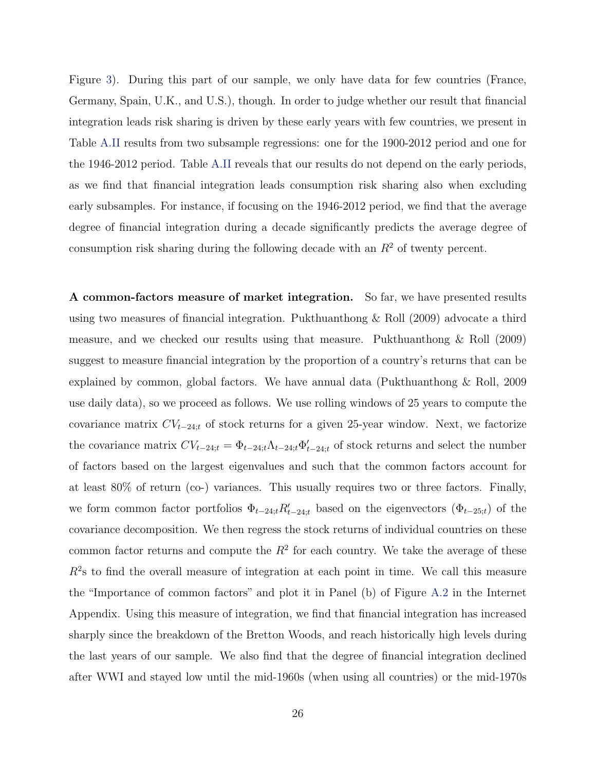Figure [3\)](#page-46-0). During this part of our sample, we only have data for few countries (France, Germany, Spain, U.K., and U.S.), though. In order to judge whether our result that financial integration leads risk sharing is driven by these early years with few countries, we present in Table [A.II](#page-53-0) results from two subsample regressions: one for the 1900-2012 period and one for the 1946-2012 period. Table [A.II](#page-53-0) reveals that our results do not depend on the early periods, as we find that financial integration leads consumption risk sharing also when excluding early subsamples. For instance, if focusing on the 1946-2012 period, we find that the average degree of financial integration during a decade significantly predicts the average degree of consumption risk sharing during the following decade with an  $R<sup>2</sup>$  of twenty percent.

A common-factors measure of market integration. So far, we have presented results using two measures of financial integration. Pukthuanthong & Roll (2009) advocate a third measure, and we checked our results using that measure. Pukthuanthong & Roll (2009) suggest to measure financial integration by the proportion of a country's returns that can be explained by common, global factors. We have annual data (Pukthuanthong & Roll, 2009 use daily data), so we proceed as follows. We use rolling windows of 25 years to compute the covariance matrix  $CV_{t-24;t}$  of stock returns for a given 25-year window. Next, we factorize the covariance matrix  $CV_{t-24;t} = \Phi_{t-24;t} \Lambda_{t-24;t} \Phi'_{t-24;t}$  of stock returns and select the number of factors based on the largest eigenvalues and such that the common factors account for at least 80% of return (co-) variances. This usually requires two or three factors. Finally, we form common factor portfolios  $\Phi_{t-24;t} R'_{t-24;t}$  based on the eigenvectors  $(\Phi_{t-25;t})$  of the covariance decomposition. We then regress the stock returns of individual countries on these common factor returns and compute the  $R^2$  for each country. We take the average of these  $R<sup>2</sup>$ s to find the overall measure of integration at each point in time. We call this measure the "Importance of common factors" and plot it in Panel (b) of Figure [A.2](#page-58-0) in the Internet Appendix. Using this measure of integration, we find that financial integration has increased sharply since the breakdown of the Bretton Woods, and reach historically high levels during the last years of our sample. We also find that the degree of financial integration declined after WWI and stayed low until the mid-1960s (when using all countries) or the mid-1970s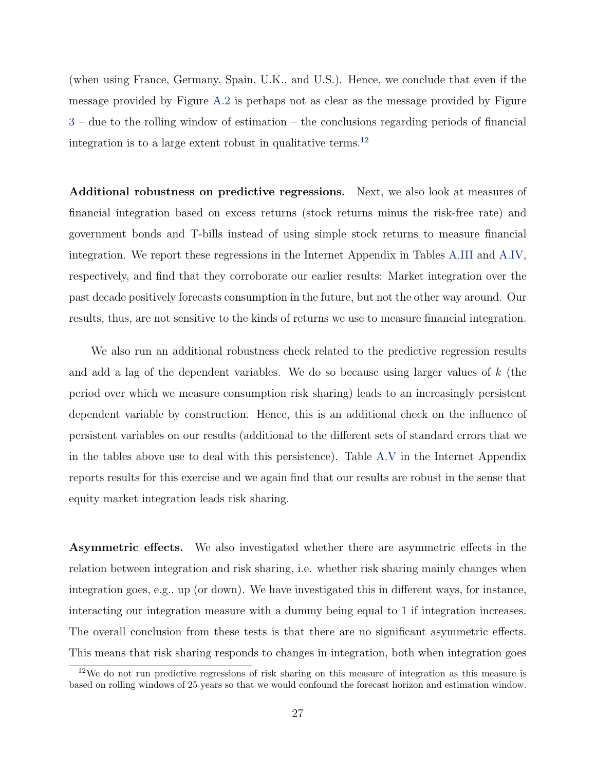(when using France, Germany, Spain, U.K., and U.S.). Hence, we conclude that even if the message provided by Figure [A.2](#page-58-0) is perhaps not as clear as the message provided by Figure [3](#page-46-0) – due to the rolling window of estimation – the conclusions regarding periods of financial integration is to a large extent robust in qualitative terms.<sup>[12](#page-29-0)</sup>

Additional robustness on predictive regressions. Next, we also look at measures of financial integration based on excess returns (stock returns minus the risk-free rate) and government bonds and T-bills instead of using simple stock returns to measure financial integration. We report these regressions in the Internet Appendix in Tables [A.III](#page-54-0) and [A.IV,](#page-55-0) respectively, and find that they corroborate our earlier results: Market integration over the past decade positively forecasts consumption in the future, but not the other way around. Our results, thus, are not sensitive to the kinds of returns we use to measure financial integration.

We also run an additional robustness check related to the predictive regression results and add a lag of the dependent variables. We do so because using larger values of  $k$  (the period over which we measure consumption risk sharing) leads to an increasingly persistent dependent variable by construction. Hence, this is an additional check on the influence of persistent variables on our results (additional to the different sets of standard errors that we in the tables above use to deal with this persistence). Table [A.V](#page-56-0) in the Internet Appendix reports results for this exercise and we again find that our results are robust in the sense that equity market integration leads risk sharing.

Asymmetric effects. We also investigated whether there are asymmetric effects in the relation between integration and risk sharing, i.e. whether risk sharing mainly changes when integration goes, e.g., up (or down). We have investigated this in different ways, for instance, interacting our integration measure with a dummy being equal to 1 if integration increases. The overall conclusion from these tests is that there are no significant asymmetric effects. This means that risk sharing responds to changes in integration, both when integration goes

<span id="page-29-0"></span><sup>12</sup>We do not run predictive regressions of risk sharing on this measure of integration as this measure is based on rolling windows of 25 years so that we would confound the forecast horizon and estimation window.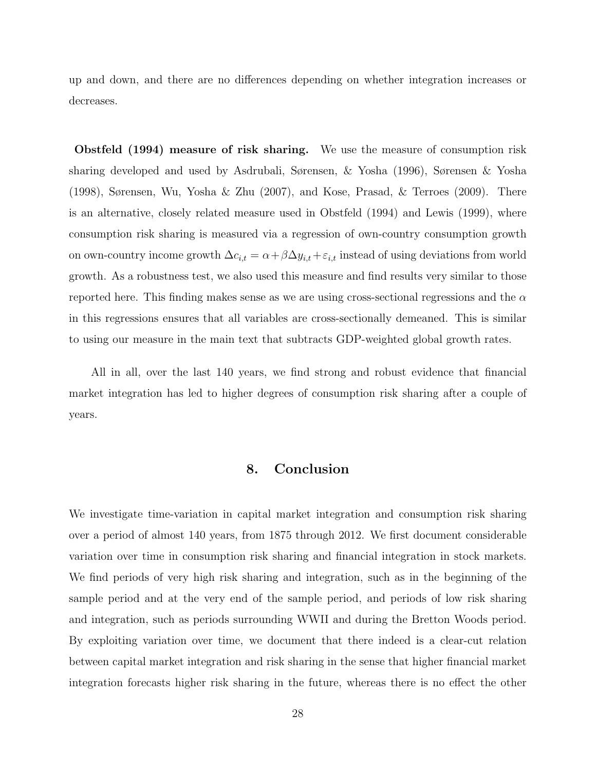up and down, and there are no differences depending on whether integration increases or decreases.

Obstfeld (1994) measure of risk sharing. We use the measure of consumption risk sharing developed and used by Asdrubali, Sørensen, & Yosha (1996), Sørensen & Yosha (1998), Sørensen, Wu, Yosha & Zhu (2007), and Kose, Prasad, & Terroes (2009). There is an alternative, closely related measure used in Obstfeld (1994) and Lewis (1999), where consumption risk sharing is measured via a regression of own-country consumption growth on own-country income growth  $\Delta c_{i,t} = \alpha + \beta \Delta y_{i,t} + \varepsilon_{i,t}$  instead of using deviations from world growth. As a robustness test, we also used this measure and find results very similar to those reported here. This finding makes sense as we are using cross-sectional regressions and the  $\alpha$ in this regressions ensures that all variables are cross-sectionally demeaned. This is similar to using our measure in the main text that subtracts GDP-weighted global growth rates.

All in all, over the last 140 years, we find strong and robust evidence that financial market integration has led to higher degrees of consumption risk sharing after a couple of years.

# 8. Conclusion

We investigate time-variation in capital market integration and consumption risk sharing over a period of almost 140 years, from 1875 through 2012. We first document considerable variation over time in consumption risk sharing and financial integration in stock markets. We find periods of very high risk sharing and integration, such as in the beginning of the sample period and at the very end of the sample period, and periods of low risk sharing and integration, such as periods surrounding WWII and during the Bretton Woods period. By exploiting variation over time, we document that there indeed is a clear-cut relation between capital market integration and risk sharing in the sense that higher financial market integration forecasts higher risk sharing in the future, whereas there is no effect the other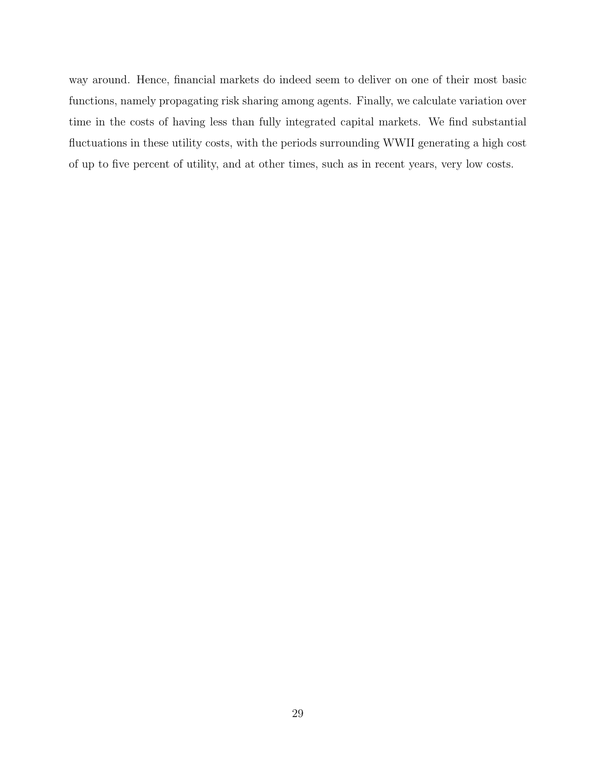way around. Hence, financial markets do indeed seem to deliver on one of their most basic functions, namely propagating risk sharing among agents. Finally, we calculate variation over time in the costs of having less than fully integrated capital markets. We find substantial fluctuations in these utility costs, with the periods surrounding WWII generating a high cost of up to five percent of utility, and at other times, such as in recent years, very low costs.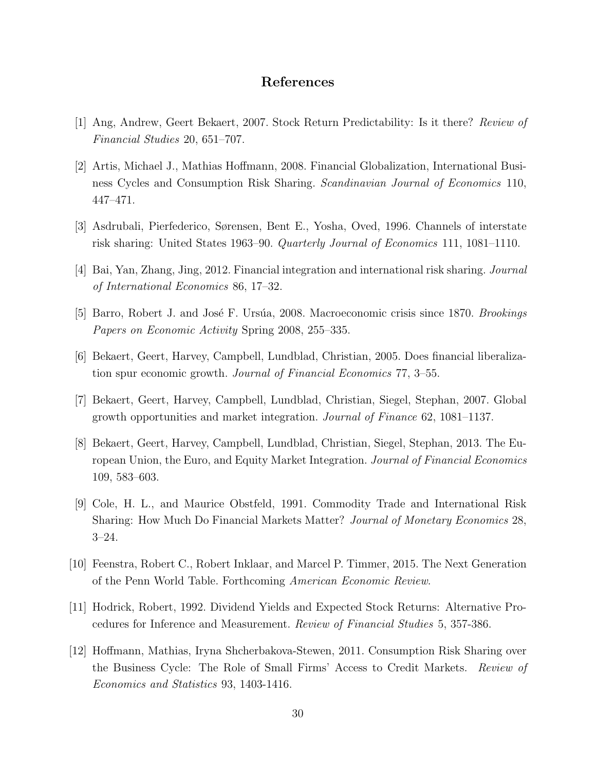## References

- [1] Ang, Andrew, Geert Bekaert, 2007. Stock Return Predictability: Is it there? Review of Financial Studies 20, 651–707.
- [2] Artis, Michael J., Mathias Hoffmann, 2008. Financial Globalization, International Business Cycles and Consumption Risk Sharing. Scandinavian Journal of Economics 110, 447–471.
- [3] Asdrubali, Pierfederico, Sørensen, Bent E., Yosha, Oved, 1996. Channels of interstate risk sharing: United States 1963–90. Quarterly Journal of Economics 111, 1081–1110.
- [4] Bai, Yan, Zhang, Jing, 2012. Financial integration and international risk sharing. Journal of International Economics 86, 17–32.
- [5] Barro, Robert J. and José F. Ursúa, 2008. Macroeconomic crisis since 1870. Brookings Papers on Economic Activity Spring 2008, 255–335.
- [6] Bekaert, Geert, Harvey, Campbell, Lundblad, Christian, 2005. Does financial liberalization spur economic growth. Journal of Financial Economics 77, 3–55.
- [7] Bekaert, Geert, Harvey, Campbell, Lundblad, Christian, Siegel, Stephan, 2007. Global growth opportunities and market integration. Journal of Finance 62, 1081–1137.
- [8] Bekaert, Geert, Harvey, Campbell, Lundblad, Christian, Siegel, Stephan, 2013. The European Union, the Euro, and Equity Market Integration. Journal of Financial Economics 109, 583–603.
- [9] Cole, H. L., and Maurice Obstfeld, 1991. Commodity Trade and International Risk Sharing: How Much Do Financial Markets Matter? Journal of Monetary Economics 28, 3–24.
- [10] Feenstra, Robert C., Robert Inklaar, and Marcel P. Timmer, 2015. The Next Generation of the Penn World Table. Forthcoming American Economic Review.
- [11] Hodrick, Robert, 1992. Dividend Yields and Expected Stock Returns: Alternative Procedures for Inference and Measurement. Review of Financial Studies 5, 357-386.
- [12] Hoffmann, Mathias, Iryna Shcherbakova-Stewen, 2011. Consumption Risk Sharing over the Business Cycle: The Role of Small Firms' Access to Credit Markets. Review of Economics and Statistics 93, 1403-1416.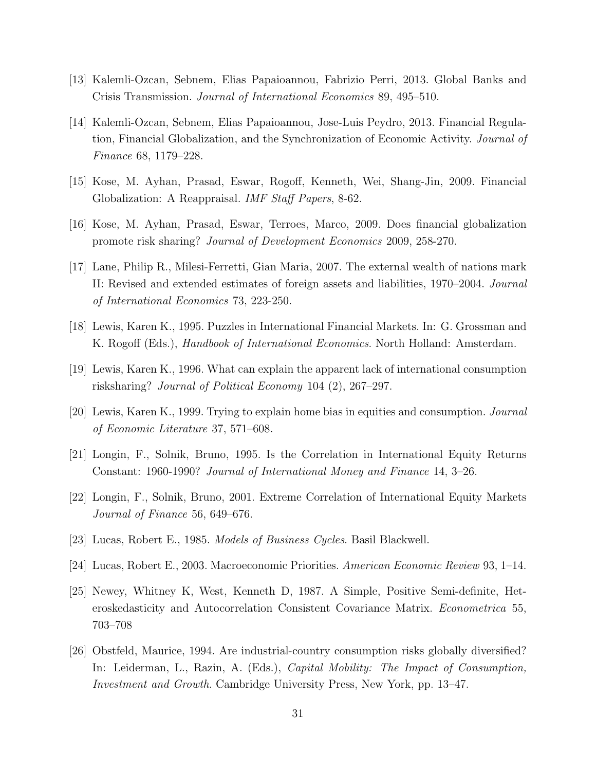- [13] Kalemli-Ozcan, Sebnem, Elias Papaioannou, Fabrizio Perri, 2013. Global Banks and Crisis Transmission. Journal of International Economics 89, 495–510.
- [14] Kalemli-Ozcan, Sebnem, Elias Papaioannou, Jose-Luis Peydro, 2013. Financial Regulation, Financial Globalization, and the Synchronization of Economic Activity. Journal of Finance 68, 1179–228.
- [15] Kose, M. Ayhan, Prasad, Eswar, Rogoff, Kenneth, Wei, Shang-Jin, 2009. Financial Globalization: A Reappraisal. IMF Staff Papers, 8-62.
- [16] Kose, M. Ayhan, Prasad, Eswar, Terroes, Marco, 2009. Does financial globalization promote risk sharing? Journal of Development Economics 2009, 258-270.
- [17] Lane, Philip R., Milesi-Ferretti, Gian Maria, 2007. The external wealth of nations mark II: Revised and extended estimates of foreign assets and liabilities, 1970–2004. Journal of International Economics 73, 223-250.
- [18] Lewis, Karen K., 1995. Puzzles in International Financial Markets. In: G. Grossman and K. Rogoff (Eds.), Handbook of International Economics. North Holland: Amsterdam.
- [19] Lewis, Karen K., 1996. What can explain the apparent lack of international consumption risksharing? Journal of Political Economy 104 (2), 267–297.
- [20] Lewis, Karen K., 1999. Trying to explain home bias in equities and consumption. Journal of Economic Literature 37, 571–608.
- [21] Longin, F., Solnik, Bruno, 1995. Is the Correlation in International Equity Returns Constant: 1960-1990? Journal of International Money and Finance 14, 3–26.
- [22] Longin, F., Solnik, Bruno, 2001. Extreme Correlation of International Equity Markets Journal of Finance 56, 649–676.
- [23] Lucas, Robert E., 1985. Models of Business Cycles. Basil Blackwell.
- [24] Lucas, Robert E., 2003. Macroeconomic Priorities. American Economic Review 93, 1–14.
- [25] Newey, Whitney K, West, Kenneth D, 1987. A Simple, Positive Semi-definite, Heteroskedasticity and Autocorrelation Consistent Covariance Matrix. Econometrica 55, 703–708
- [26] Obstfeld, Maurice, 1994. Are industrial-country consumption risks globally diversified? In: Leiderman, L., Razin, A. (Eds.), Capital Mobility: The Impact of Consumption, Investment and Growth. Cambridge University Press, New York, pp. 13–47.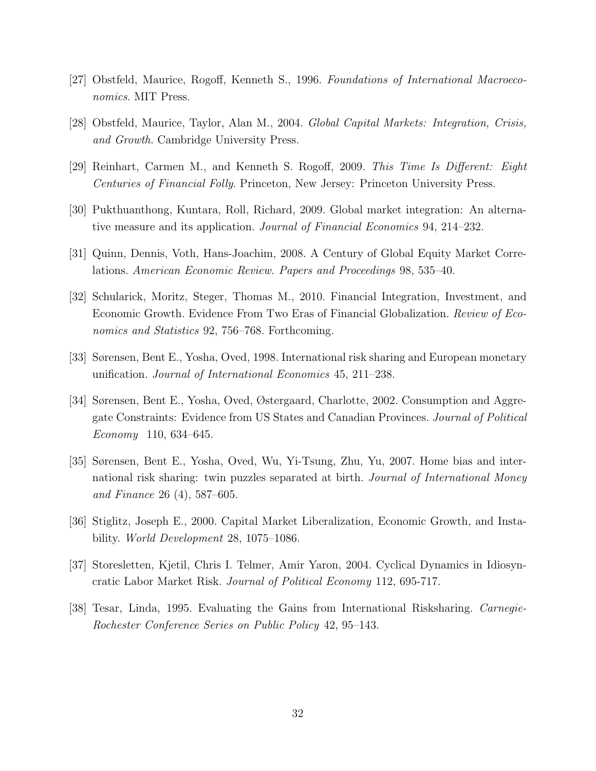- [27] Obstfeld, Maurice, Rogoff, Kenneth S., 1996. Foundations of International Macroeconomics. MIT Press.
- [28] Obstfeld, Maurice, Taylor, Alan M., 2004. Global Capital Markets: Integration, Crisis, and Growth. Cambridge University Press.
- [29] Reinhart, Carmen M., and Kenneth S. Rogoff, 2009. This Time Is Different: Eight Centuries of Financial Folly. Princeton, New Jersey: Princeton University Press.
- [30] Pukthuanthong, Kuntara, Roll, Richard, 2009. Global market integration: An alternative measure and its application. Journal of Financial Economics 94, 214–232.
- [31] Quinn, Dennis, Voth, Hans-Joachim, 2008. A Century of Global Equity Market Correlations. American Economic Review. Papers and Proceedings 98, 535–40.
- [32] Schularick, Moritz, Steger, Thomas M., 2010. Financial Integration, Investment, and Economic Growth. Evidence From Two Eras of Financial Globalization. Review of Economics and Statistics 92, 756–768. Forthcoming.
- [33] Sørensen, Bent E., Yosha, Oved, 1998. International risk sharing and European monetary unification. Journal of International Economics 45, 211–238.
- [34] Sørensen, Bent E., Yosha, Oved, Østergaard, Charlotte, 2002. Consumption and Aggregate Constraints: Evidence from US States and Canadian Provinces. Journal of Political Economy 110, 634–645.
- [35] Sørensen, Bent E., Yosha, Oved, Wu, Yi-Tsung, Zhu, Yu, 2007. Home bias and international risk sharing: twin puzzles separated at birth. Journal of International Money and Finance 26 (4), 587–605.
- [36] Stiglitz, Joseph E., 2000. Capital Market Liberalization, Economic Growth, and Instability. World Development 28, 1075–1086.
- [37] Storesletten, Kjetil, Chris I. Telmer, Amir Yaron, 2004. Cyclical Dynamics in Idiosyncratic Labor Market Risk. Journal of Political Economy 112, 695-717.
- [38] Tesar, Linda, 1995. Evaluating the Gains from International Risksharing. Carnegie-Rochester Conference Series on Public Policy 42, 95–143.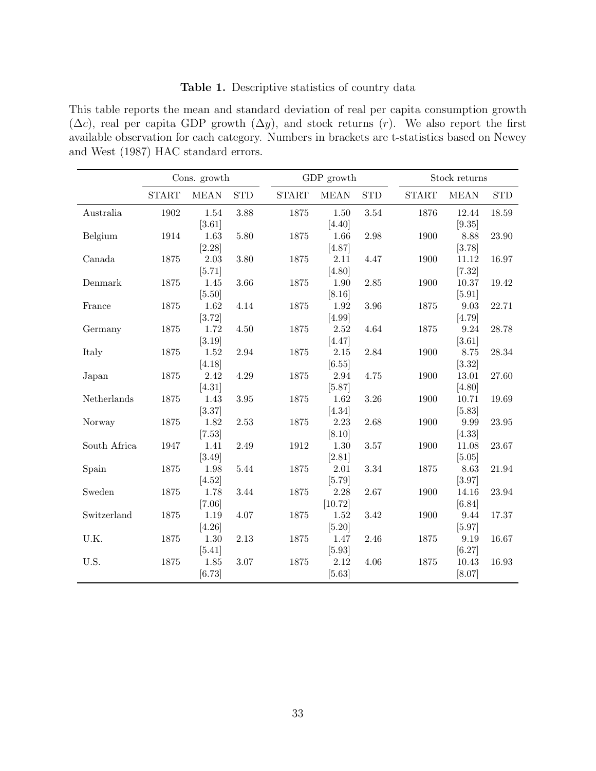### Table 1. Descriptive statistics of country data

<span id="page-35-0"></span>This table reports the mean and standard deviation of real per capita consumption growth  $(\Delta c)$ , real per capita GDP growth  $(\Delta y)$ , and stock returns (r). We also report the first available observation for each category. Numbers in brackets are t-statistics based on Newey and West (1987) HAC standard errors.

|              |              | Cons. growth |            |              | GDP growth  |            |              | Stock returns |            |
|--------------|--------------|--------------|------------|--------------|-------------|------------|--------------|---------------|------------|
|              | <b>START</b> | <b>MEAN</b>  | <b>STD</b> | <b>START</b> | <b>MEAN</b> | <b>STD</b> | <b>START</b> | <b>MEAN</b>   | <b>STD</b> |
| Australia    | 1902         | 1.54         | 3.88       | 1875         | 1.50        | 3.54       | 1876         | 12.44         | 18.59      |
|              |              | $[3.61]$     |            |              | [4.40]      |            |              | [9.35]        |            |
| Belgium      | 1914         | 1.63         | 5.80       | 1875         | 1.66        | 2.98       | 1900         | 8.88          | 23.90      |
|              |              | [2.28]       |            |              | [4.87]      |            |              | [3.78]        |            |
| Canada       | 1875         | 2.03         | 3.80       | 1875         | 2.11        | 4.47       | 1900         | 11.12         | 16.97      |
|              |              | [5.71]       |            |              | [4.80]      |            |              | $[7.32]$      |            |
| Denmark      | 1875         | 1.45         | 3.66       | 1875         | 1.90        | 2.85       | 1900         | 10.37         | 19.42      |
|              |              | $[5.50]$     |            |              | [8.16]      |            |              | $[5.91]$      |            |
| France       | 1875         | 1.62         | 4.14       | 1875         | 1.92        | 3.96       | 1875         | 9.03          | 22.71      |
|              |              | [3.72]       |            |              | [4.99]      |            |              | [4.79]        |            |
| Germany      | 1875         | 1.72         | 4.50       | 1875         | $2.52\,$    | 4.64       | 1875         | 9.24          | 28.78      |
|              |              | [3.19]       |            |              | [4.47]      |            |              | [3.61]        |            |
| Italy        | 1875         | 1.52         | $\;\:2.94$ | 1875         | $2.15\,$    | 2.84       | 1900         | 8.75          | $28.34\,$  |
|              |              | [4.18]       |            |              | [6.55]      |            |              | [3.32]        |            |
| Japan        | 1875         | 2.42         | 4.29       | 1875         | 2.94        | 4.75       | 1900         | 13.01         | 27.60      |
|              |              | [4.31]       |            |              | [5.87]      |            |              | [4.80]        |            |
| Netherlands  | 1875         | 1.43         | $3.95\,$   | 1875         | 1.62        | 3.26       | 1900         | 10.71         | 19.69      |
|              |              | [3.37]       |            |              | $[4.34]$    |            |              | [5.83]        |            |
| Norway       | 1875         | 1.82         | 2.53       | 1875         | 2.23        | 2.68       | 1900         | 9.99          | 23.95      |
|              |              | $[7.53]$     |            |              | [8.10]      |            |              | [4.33]        |            |
| South Africa | 1947         | 1.41         | 2.49       | 1912         | 1.30        | 3.57       | 1900         | 11.08         | 23.67      |
|              |              | $[3.49]$     |            |              | [2.81]      |            |              | [5.05]        |            |
| Spain        | 1875         | 1.98         | $5.44\,$   | 1875         | 2.01        | 3.34       | 1875         | 8.63          | $21.94\,$  |
|              |              | [4.52]       |            |              | [5.79]      |            |              | [3.97]        |            |
| Sweden       | 1875         | 1.78         | 3.44       | 1875         | 2.28        | 2.67       | 1900         | 14.16         | 23.94      |
|              |              | $[7.06]$     |            |              | [10.72]     |            |              | [6.84]        |            |
| Switzerland  | 1875         | 1.19         | 4.07       | 1875         | 1.52        | 3.42       | 1900         | 9.44          | 17.37      |
|              |              | [4.26]       |            |              | [5.20]      |            |              | [5.97]        |            |
| U.K.         | 1875         | 1.30         | 2.13       | 1875         | 1.47        | 2.46       | 1875         | 9.19          | 16.67      |
|              |              | [5.41]       |            |              | $[5.93]$    |            |              | [6.27]        |            |
| U.S.         | 1875         | 1.85         | 3.07       | 1875         | 2.12        | 4.06       | 1875         | 10.43         | 16.93      |
|              |              | [6.73]       |            |              | [5.63]      |            |              | [8.07]        |            |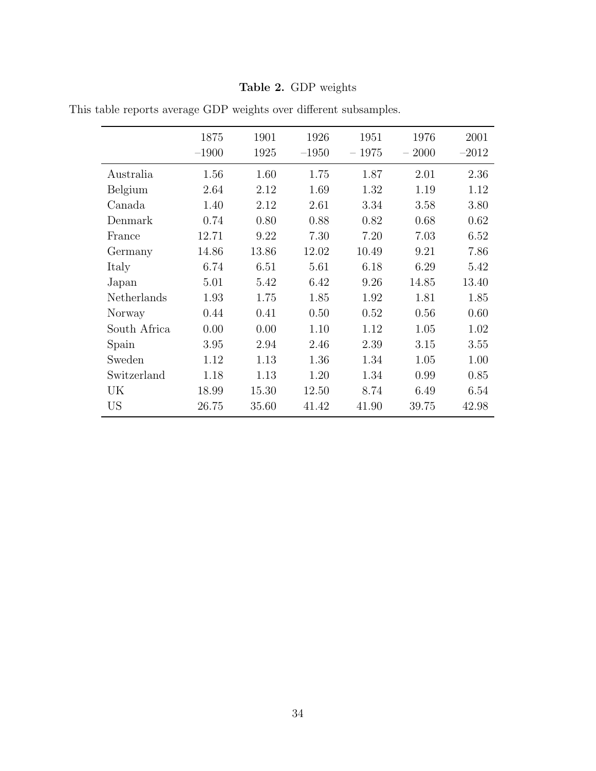# Table 2. GDP weights

|              | 1875<br>$-1900$ | 1901<br>1925 | 1926<br>$-1950$ | 1951<br>$-1975$ | 1976<br>$-2000$ | 2001<br>$-2012$ |
|--------------|-----------------|--------------|-----------------|-----------------|-----------------|-----------------|
| Australia    | 1.56            | 1.60         | 1.75            | 1.87            | 2.01            | 2.36            |
| Belgium      | 2.64            | 2.12         | 1.69            | 1.32            | 1.19            | 1.12            |
| Canada       | 1.40            | 2.12         | 2.61            | 3.34            | 3.58            | 3.80            |
| Denmark      | 0.74            | 0.80         | 0.88            | 0.82            | 0.68            | 0.62            |
| France       | 12.71           | 9.22         | 7.30            | 7.20            | 7.03            | 6.52            |
| Germany      | 14.86           | 13.86        | 12.02           | 10.49           | 9.21            | 7.86            |
| Italy        | 6.74            | 6.51         | 5.61            | 6.18            | 6.29            | 5.42            |
| Japan        | 5.01            | 5.42         | 6.42            | 9.26            | 14.85           | 13.40           |
| Netherlands  | 1.93            | 1.75         | 1.85            | 1.92            | 1.81            | 1.85            |
| Norway       | 0.44            | 0.41         | 0.50            | 0.52            | 0.56            | 0.60            |
| South Africa | 0.00            | 0.00         | 1.10            | 1.12            | 1.05            | 1.02            |
| Spain        | 3.95            | 2.94         | 2.46            | 2.39            | 3.15            | 3.55            |
| Sweden       | 1.12            | 1.13         | 1.36            | 1.34            | 1.05            | 1.00            |
| Switzerland  | 1.18            | 1.13         | 1.20            | 1.34            | 0.99            | 0.85            |
| UK           | 18.99           | 15.30        | 12.50           | 8.74            | 6.49            | 6.54            |
| <b>US</b>    | 26.75           | 35.60        | 41.42           | 41.90           | 39.75           | 42.98           |

<span id="page-36-0"></span>This table reports average GDP weights over different subsamples.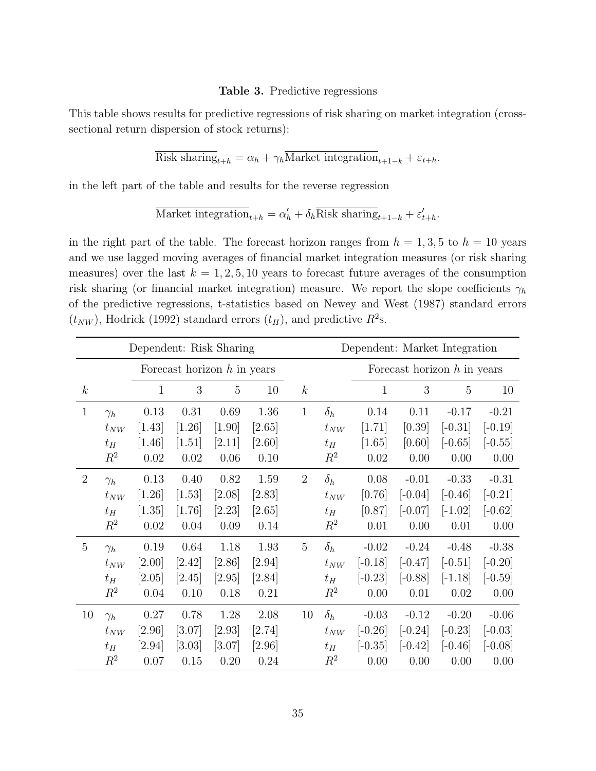### Table 3. Predictive regressions

<span id="page-37-0"></span>This table shows results for predictive regressions of risk sharing on market integration (crosssectional return dispersion of stock returns):

Risk sharing<sub>t+h</sub> = 
$$
\alpha_h + \gamma_h \overline{\text{Market integration}}_{t+1-k} + \varepsilon_{t+h}.
$$

in the left part of the table and results for the reverse regression

Market integration<sub>t+h</sub> = 
$$
\alpha'_h + \delta_h \overline{\text{Risk sharing}}_{t+1-k} + \varepsilon'_{t+h}
$$
.

in the right part of the table. The forecast horizon ranges from  $h = 1, 3, 5$  to  $h = 10$  years and we use lagged moving averages of financial market integration measures (or risk sharing measures) over the last  $k = 1, 2, 5, 10$  years to forecast future averages of the consumption risk sharing (or financial market integration) measure. We report the slope coefficients  $\gamma_h$ of the predictive regressions, t-statistics based on Newey and West (1987) standard errors  $(t_{NW})$ , Hodrick (1992) standard errors  $(t_H)$ , and predictive  $R^2$ s.

|                  |            | Dependent: Risk Sharing |          |                               |        |                  |            | Dependent: Market Integration |                               |           |           |
|------------------|------------|-------------------------|----------|-------------------------------|--------|------------------|------------|-------------------------------|-------------------------------|-----------|-----------|
|                  |            |                         |          | Forecast horizon $h$ in years |        |                  |            |                               | Forecast horizon $h$ in years |           |           |
| $\boldsymbol{k}$ |            | 1                       | 3        | 5                             | 10     | $\boldsymbol{k}$ |            | $\mathbf 1$                   | 3                             | 5         | 10        |
| $\mathbf{1}$     | $\gamma_h$ | 0.13                    | 0.31     | 0.69                          | 1.36   | $\mathbf{1}$     | $\delta_h$ | 0.14                          | 0.11                          | $-0.17$   | $-0.21$   |
|                  | $t_{NW}$   | [1.43]                  | $[1.26]$ | [1.90]                        | [2.65] |                  | $t_{NW}$   | [1.71]                        | [0.39]                        | $[-0.31]$ | $[-0.19]$ |
|                  | $t_H$      | $[1.46]$                | [1.51]   | [2.11]                        | [2.60] |                  | $t_H$      | [1.65]                        | [0.60]                        | $[-0.65]$ | $[-0.55]$ |
|                  | $R^2$      | 0.02                    | 0.02     | 0.06                          | 0.10   |                  | $R^2$      | 0.02                          | 0.00                          | 0.00      | 0.00      |
| $\overline{2}$   | $\gamma_h$ | 0.13                    | 0.40     | 0.82                          | 1.59   | $\overline{2}$   | $\delta_h$ | 0.08                          | $-0.01$                       | $-0.33$   | $-0.31$   |
|                  | $t_{NW}$   | $[1.26]$                | [1.53]   | [2.08]                        | [2.83] |                  | $t_{NW}$   | [0.76]                        | $[-0.04]$                     | $[-0.46]$ | $[-0.21]$ |
|                  | $t_H$      | $[1.35]$                | [1.76]   | [2.23]                        | [2.65] |                  | $t_H$      | [0.87]                        | $[-0.07]$                     | $[-1.02]$ | $[-0.62]$ |
|                  | $R^2$      | 0.02                    | 0.04     | 0.09                          | 0.14   |                  | $R^2$      | 0.01                          | 0.00                          | 0.01      | 0.00      |
| $\overline{5}$   | $\gamma_h$ | 0.19                    | 0.64     | 1.18                          | 1.93   | $\overline{5}$   | $\delta_h$ | $-0.02$                       | $-0.24$                       | $-0.48$   | $-0.38$   |
|                  | $t_{NW}$   | $[2.00]$                | [2.42]   | [2.86]                        | [2.94] |                  | $t_{NW}$   | $[-0.18]$                     | $[-0.47]$                     | $[-0.51]$ | $[-0.20]$ |
|                  | $t_H$      | $[2.05]$                | [2.45]   | [2.95]                        | [2.84] |                  | $t_H$      | $[-0.23]$                     | $[-0.88]$                     | $[-1.18]$ | $[-0.59]$ |
|                  | $R^2$      | 0.04                    | 0.10     | 0.18                          | 0.21   |                  | $R^2$      | 0.00                          | 0.01                          | 0.02      | 0.00      |
| 10               | $\gamma_h$ | 0.27                    | 0.78     | 1.28                          | 2.08   | 10               | $\delta_h$ | $-0.03$                       | $-0.12$                       | $-0.20$   | $-0.06$   |
|                  | $t_{NW}$   | $[2.96]$                | [3.07]   | [2.93]                        | [2.74] |                  | $t_{NW}$   | $[-0.26]$                     | $[-0.24]$                     | $[-0.23]$ | $[-0.03]$ |
|                  | $t_H$      | [2.94]                  | [3.03]   | [3.07]                        | [2.96] |                  | $t_H$      | $[-0.35]$                     | $[-0.42]$                     | $[-0.46]$ | $[-0.08]$ |
|                  | $R^2$      | 0.07                    | 0.15     | 0.20                          | 0.24   |                  | $R^2$      | 0.00                          | 0.00                          | 0.00      | 0.00      |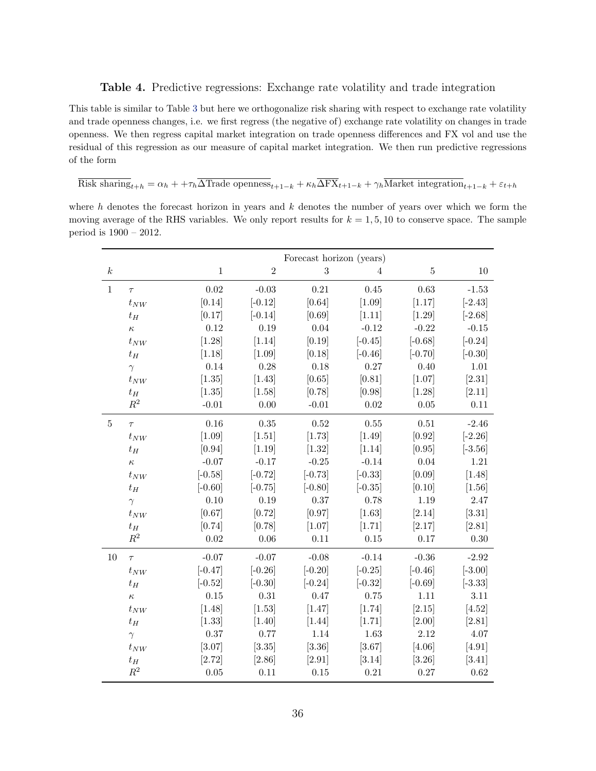### <span id="page-38-0"></span>Table 4. Predictive regressions: Exchange rate volatility and trade integration

This table is similar to Table [3](#page-37-0) but here we orthogonalize risk sharing with respect to exchange rate volatility and trade openness changes, i.e. we first regress (the negative of) exchange rate volatility on changes in trade openness. We then regress capital market integration on trade openness differences and FX vol and use the residual of this regression as our measure of capital market integration. We then run predictive regressions of the form

$$
\overline{\text{Risk sharing}}_{t+h} = \alpha_h + \tau_h \overline{\Delta \text{Trade openness}}_{t+1-k} + \kappa_h \overline{\Delta \text{FX}}_{t+1-k} + \gamma_h \overline{\text{Market integration}}_{t+1-k} + \varepsilon_{t+h}
$$

where  $h$  denotes the forecast horizon in years and  $k$  denotes the number of years over which we form the moving average of the RHS variables. We only report results for  $k = 1, 5, 10$  to conserve space. The sample period is 1900 – 2012.

|                  |                |              |                |           | Forecast horizon (years) |           |           |
|------------------|----------------|--------------|----------------|-----------|--------------------------|-----------|-----------|
| $\boldsymbol{k}$ |                | $\mathbf{1}$ | $\overline{2}$ | 3         | $\overline{4}$           | $\bf 5$   | 10        |
| $1\,$            | $\tau$         | 0.02         | $-0.03$        | 0.21      | 0.45                     | 0.63      | $-1.53$   |
|                  | $t_{NW}$       | [0.14]       | $[-0.12]$      | [0.64]    | [1.09]                   | [1.17]    | $[-2.43]$ |
|                  | $t_H$          | [0.17]       | $[-0.14]$      | [0.69]    | $[1.11]$                 | [1.29]    | $[-2.68]$ |
|                  | $\kappa$       | $0.12\,$     | 0.19           | 0.04      | $-0.12$                  | $-0.22$   | $-0.15$   |
|                  | $t_{NW}$       | [1.28]       | $[1.14]$       | [0.19]    | $[-0.45]$                | $[-0.68]$ | $[-0.24]$ |
|                  | $t_H\,$        | $[1.18]$     | $[1.09]$       | [0.18]    | $[-0.46]$                | $[-0.70]$ | $[-0.30]$ |
|                  | $\gamma$       | 0.14         | 0.28           | 0.18      | 0.27                     | 0.40      | $1.01\,$  |
|                  | $t_{NW}$       | [1.35]       | $[1.43]$       | [0.65]    | [0.81]                   | [1.07]    | [2.31]    |
|                  | $t_H$          | [1.35]       | [1.58]         | [0.78]    | [0.98]                   | [1.28]    | [2.11]    |
|                  | $\mathbb{R}^2$ | $-0.01$      | $0.00\,$       | $-0.01$   | 0.02                     | 0.05      | 0.11      |
| 5                | $\tau$         | 0.16         | 0.35           | 0.52      | 0.55                     | 0.51      | $-2.46$   |
|                  | $t_{NW}$       | [1.09]       | [1.51]         | [1.73]    | $[1.49]$                 | [0.92]    | $[-2.26]$ |
|                  | $t_H$          | [0.94]       | [1.19]         | $[1.32]$  | $[1.14]$                 | [0.95]    | $[-3.56]$ |
|                  | $\kappa$       | $-0.07$      | $-0.17$        | $-0.25$   | $-0.14$                  | 0.04      | $1.21\,$  |
|                  | $t_{NW}$       | $[-0.58]$    | $[-0.72]$      | $[-0.73]$ | $[-0.33]$                | [0.09]    | [1.48]    |
|                  | $t_H\,$        | $[-0.60]$    | $[-0.75]$      | $[-0.80]$ | $[-0.35]$                | [0.10]    | [1.56]    |
|                  | $\gamma$       | $0.10\,$     | 0.19           | 0.37      | 0.78                     | 1.19      | 2.47      |
|                  | $t_{NW}$       | [0.67]       | [0.72]         | [0.97]    | [1.63]                   | [2.14]    | [3.31]    |
|                  | $t_H\,$        | [0.74]       | [0.78]         | [1.07]    | $[1.71]$                 | [2.17]    | [2.81]    |
|                  | $R^2$          | 0.02         | 0.06           | 0.11      | 0.15                     | 0.17      | 0.30      |
| 10               | $\tau$         | $-0.07$      | $-0.07$        | $-0.08$   | $-0.14$                  | $-0.36$   | $-2.92$   |
|                  | $t_{NW}$       | $[-0.47]$    | $[-0.26]$      | $[-0.20]$ | $[-0.25]$                | $[-0.46]$ | $[-3.00]$ |
|                  | $t_H$          | $[-0.52]$    | $[-0.30]$      | $[-0.24]$ | $[-0.32]$                | $[-0.69]$ | $[-3.33]$ |
|                  | $\kappa$       | 0.15         | 0.31           | 0.47      | 0.75                     | 1.11      | 3.11      |
|                  | $t_{NW}$       | $[1.48]$     | [1.53]         | $[1.47]$  | $[1.74]$                 | [2.15]    | [4.52]    |
|                  | $t_H$          | $[1.33]$     | $[1.40]$       | $[1.44]$  | [1.71]                   | $[2.00]$  | [2.81]    |
|                  | $\gamma$       | 0.37         | 0.77           | 1.14      | 1.63                     | 2.12      | $4.07\,$  |
|                  | $t_{NW}$       | [3.07]       | $[3.35]$       | [3.36]    | [3.67]                   | [4.06]    | [4.91]    |
|                  | $t_H$          | [2.72]       | [2.86]         | [2.91]    | [3.14]                   | [3.26]    | [3.41]    |
|                  | $\mathbb{R}^2$ | 0.05         | $0.11\,$       | $0.15\,$  | $\rm 0.21$               | 0.27      | 0.62      |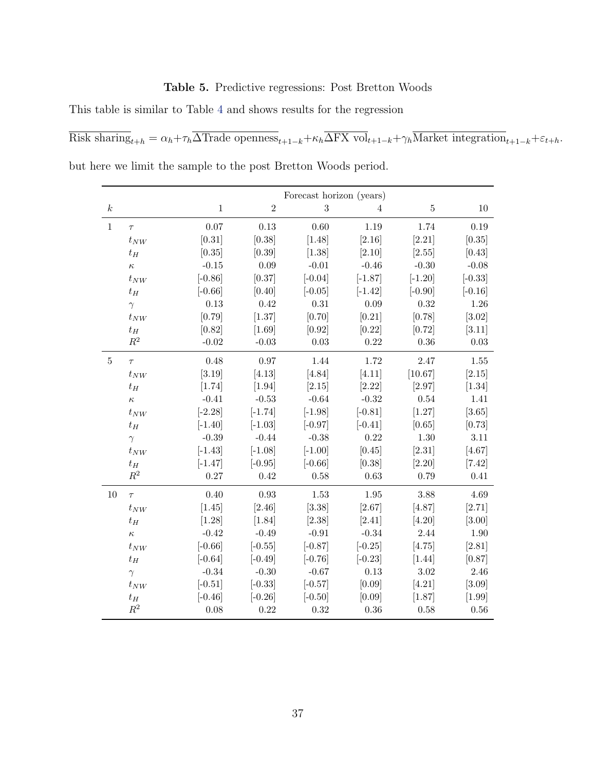### Table 5. Predictive regressions: Post Bretton Woods

<span id="page-39-0"></span>This table is similar to Table [4](#page-38-0) and shows results for the regression

 $\overline{\text{Risk sharing}}_{t+h} = \alpha_h + \tau_h \overline{\Delta \text{Trade openness}}_{t+1-k} + \kappa_h \overline{\Delta \text{FX vol}}_{t+1-k} + \gamma_h \overline{\text{Market integration}}_{t+1-k} + \varepsilon_{t+h}.$ but here we limit the sample to the post Bretton Woods period.

|                  |                |              | Forecast horizon (years) |           |           |                |           |  |  |
|------------------|----------------|--------------|--------------------------|-----------|-----------|----------------|-----------|--|--|
| $\boldsymbol{k}$ |                | $\mathbf{1}$ | $\overline{2}$           | 3         | 4         | $\overline{5}$ | 10        |  |  |
| $\mathbf{1}$     | $\tau$         | 0.07         | 0.13                     | 0.60      | 1.19      | 1.74           | 0.19      |  |  |
|                  | $t_{NW}$       | $[0.31]$     | [0.38]                   | [1.48]    | [2.16]    | [2.21]         | [0.35]    |  |  |
|                  | $t_H$          | [0.35]       | [0.39]                   | $[1.38]$  | [2.10]    | [2.55]         | [0.43]    |  |  |
|                  | $\kappa$       | $-0.15$      | $0.09\,$                 | $-0.01$   | $-0.46$   | $-0.30$        | $-0.08$   |  |  |
|                  | $t_{NW}$       | $[-0.86]$    | [0.37]                   | $[-0.04]$ | $[-1.87]$ | $[-1.20]$      | $[-0.33]$ |  |  |
|                  | $t_H$          | $[-0.66]$    | [0.40]                   | $[-0.05]$ | $[-1.42]$ | $[-0.90]$      | $[-0.16]$ |  |  |
|                  | $\gamma$       | 0.13         | 0.42                     | $0.31\,$  | $0.09\,$  | 0.32           | 1.26      |  |  |
|                  | $t_{NW}$       | [0.79]       | $[1.37]$                 | [0.70]    | [0.21]    | [0.78]         | [3.02]    |  |  |
|                  | $t_H$          | [0.82]       | $[1.69]$                 | [0.92]    | [0.22]    | [0.72]         | [3.11]    |  |  |
|                  | $\mathbb{R}^2$ | $-0.02$      | $-0.03$                  | 0.03      | 0.22      | $0.36\,$       | 0.03      |  |  |
| $\bf 5$          | $\tau$         | 0.48         | 0.97                     | 1.44      | 1.72      | 2.47           | $1.55\,$  |  |  |
|                  | $t_{NW}$       | $[3.19]$     | [4.13]                   | [4.84]    | [4.11]    | [10.67]        | [2.15]    |  |  |
|                  | $t_H$          | $[1.74]$     | $[1.94]$                 | [2.15]    | [2.22]    | [2.97]         | $[1.34]$  |  |  |
|                  | $\kappa$       | $-0.41$      | $-0.53$                  | $-0.64$   | $-0.32$   | 0.54           | 1.41      |  |  |
|                  | $t_{NW}$       | $[-2.28]$    | $[-1.74]$                | $[-1.98]$ | $[-0.81]$ | [1.27]         | $[3.65]$  |  |  |
|                  | $t_H$          | $[-1.40]$    | $[-1.03]$                | $[-0.97]$ | $[-0.41]$ | [0.65]         | $[0.73]$  |  |  |
|                  | $\gamma$       | $-0.39$      | $-0.44$                  | $-0.38$   | 0.22      | 1.30           | 3.11      |  |  |
|                  | $t_{NW}$       | $[-1.43]$    | $[-1.08]$                | $[-1.00]$ | [0.45]    | [2.31]         | [4.67]    |  |  |
|                  | $t_H$          | $[-1.47]$    | $[-0.95]$                | $[-0.66]$ | [0.38]    | [2.20]         | $[7.42]$  |  |  |
|                  | $R^2$          | 0.27         | 0.42                     | 0.58      | 0.63      | 0.79           | 0.41      |  |  |
| 10               | $\tau$         | 0.40         | 0.93                     | 1.53      | 1.95      | 3.88           | 4.69      |  |  |
|                  | $t_{NW}$       | [1.45]       | [2.46]                   | [3.38]    | [2.67]    | [4.87]         | [2.71]    |  |  |
|                  | $t_H$          | $[1.28]$     | $[1.84]$                 | [2.38]    | [2.41]    | [4.20]         | [3.00]    |  |  |
|                  | $\kappa$       | $-0.42$      | $-0.49$                  | $-0.91$   | $-0.34$   | 2.44           | $1.90\,$  |  |  |
|                  | $t_{NW}$       | $[-0.66]$    | $[-0.55]$                | $[-0.87]$ | $[-0.25]$ | [4.75]         | [2.81]    |  |  |
|                  | $t_H$          | $[-0.64]$    | $[-0.49]$                | $[-0.76]$ | $[-0.23]$ | $[1.44]$       | [0.87]    |  |  |
|                  | $\gamma$       | $-0.34$      | $-0.30$                  | $-0.67$   | 0.13      | $3.02\,$       | 2.46      |  |  |
|                  | $t_{NW}$       | $[-0.51]$    | $[-0.33]$                | $[-0.57]$ | [0.09]    | [4.21]         | [3.09]    |  |  |
|                  | $t_H$          | $[-0.46]$    | $[-0.26]$                | $[-0.50]$ | [0.09]    | [1.87]         | $[1.99]$  |  |  |
|                  | $\mathbb{R}^2$ | $0.08\,$     | 0.22                     | 0.32      | 0.36      | $0.58\,$       | $0.56\,$  |  |  |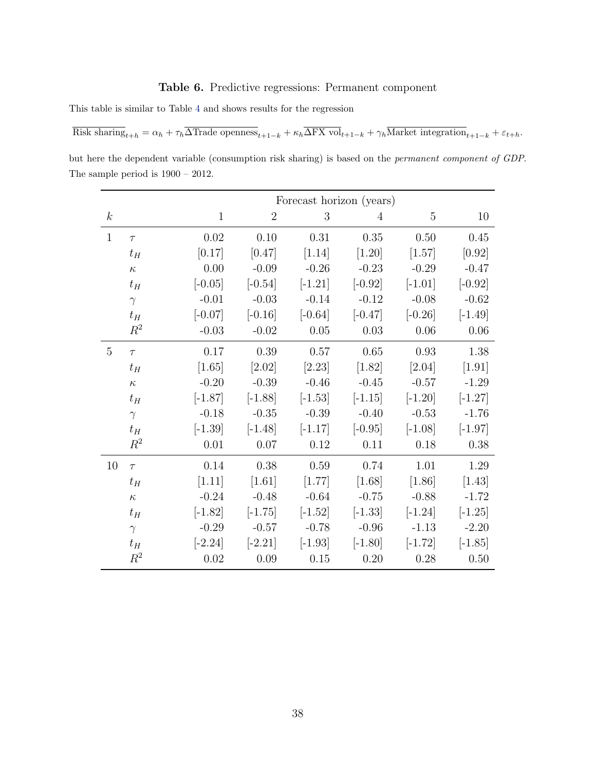# Table 6. Predictive regressions: Permanent component

<span id="page-40-0"></span>This table is similar to Table [4](#page-38-0) and shows results for the regression

 $\overline{\text{Risk sharing}}_{t+h} = \alpha_h + \tau_h\overline{\Delta \text{Trade openness}}_{t+1-k} + \kappa_h\overline{\Delta \text{FX vol}}_{t+1-k} + \gamma_h\overline{\text{Market integration}}_{t+1-k} + \varepsilon_{t+h}.$ 

but here the dependent variable (consumption risk sharing) is based on the permanent component of GDP. The sample period is 1900 – 2012.

|                  |          |              |                | Forecast horizon (years) |           |                |           |
|------------------|----------|--------------|----------------|--------------------------|-----------|----------------|-----------|
| $\boldsymbol{k}$ |          | $\mathbf{1}$ | $\overline{2}$ | 3                        | 4         | $\overline{5}$ | 10        |
| $\mathbf{1}$     | $\tau$   | 0.02         | 0.10           | 0.31                     | 0.35      | 0.50           | 0.45      |
|                  | $t_H$    | [0.17]       | [0.47]         | $\left[1.14\right]$      | $[1.20]$  | [1.57]         | [0.92]    |
|                  | $\kappa$ | 0.00         | $-0.09$        | $-0.26$                  | $-0.23$   | $-0.29$        | $-0.47$   |
|                  | $t_H$    | $[-0.05]$    | $[-0.54]$      | $[-1.21]$                | $[-0.92]$ | $[-1.01]$      | $[-0.92]$ |
|                  | $\gamma$ | $-0.01$      | $-0.03$        | $-0.14$                  | $-0.12$   | $-0.08$        | $-0.62$   |
|                  | $t_H$    | $[-0.07]$    | $[-0.16]$      | $[-0.64]$                | $[-0.47]$ | $[-0.26]$      | $[-1.49]$ |
|                  | $R^2$    | $-0.03$      | $-0.02$        | $0.05\,$                 | 0.03      | 0.06           | 0.06      |
| $\overline{5}$   | $\tau$   | 0.17         | 0.39           | $0.57\,$                 | $0.65\,$  | 0.93           | 1.38      |
|                  | $t_H$    | [1.65]       | [2.02]         | [2.23]                   | [1.82]    | [2.04]         | $[1.91]$  |
|                  | $\kappa$ | $-0.20$      | $-0.39$        | $-0.46$                  | $-0.45$   | $-0.57$        | $-1.29$   |
|                  | $t_H$    | $[-1.87]$    | $[-1.88]$      | $[-1.53]$                | $[-1.15]$ | $[-1.20]$      | $[-1.27]$ |
|                  | $\gamma$ | $-0.18$      | $-0.35$        | $-0.39$                  | $-0.40$   | $-0.53$        | $-1.76$   |
|                  | $t_H$    | $[-1.39]$    | $[-1.48]$      | $[-1.17]$                | $[-0.95]$ | $[-1.08]$      | $[-1.97]$ |
|                  | $\,R^2$  | 0.01         | 0.07           | 0.12                     | 0.11      | 0.18           | 0.38      |
| 10               | $\tau$   | 0.14         | 0.38           | 0.59                     | 0.74      | 1.01           | 1.29      |
|                  | $t_H$    | [1.11]       | [1.61]         | [1.77]                   | [1.68]    | $[1.86]$       | [1.43]    |
|                  | $\kappa$ | $-0.24$      | $-0.48$        | $-0.64$                  | $-0.75$   | $-0.88$        | $-1.72$   |
|                  | $t_H$    | $[-1.82]$    | $[-1.75]$      | $[-1.52]$                | $[-1.33]$ | $[-1.24]$      | $[-1.25]$ |
|                  | $\gamma$ | $-0.29$      | $-0.57$        | $-0.78$                  | $-0.96$   | $-1.13$        | $-2.20$   |
|                  | $t_H$    | $[-2.24]$    | $[-2.21]$      | $[-1.93]$                | $[-1.80]$ | $[-1.72]$      | $[-1.85]$ |
|                  | $R^2$    | 0.02         | 0.09           | $0.15\,$                 | $0.20\,$  | 0.28           | 0.50      |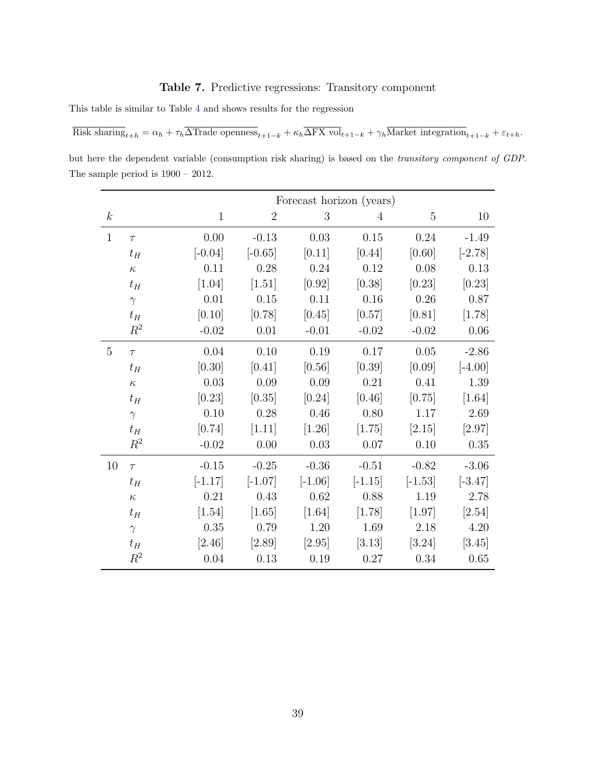# Table 7. Predictive regressions: Transitory component

<span id="page-41-0"></span>This table is similar to Table [4](#page-38-0) and shows results for the regression

 $\overline{\text{Risk sharing}}_{t+h} = \alpha_h + \tau_h\overline{\Delta \text{Trade openness}}_{t+1-k} + \kappa_h\overline{\Delta \text{FX vol}}_{t+1-k} + \gamma_h\overline{\text{Market integration}}_{t+1-k} + \varepsilon_{t+h}.$ 

but here the dependent variable (consumption risk sharing) is based on the transitory component of GDP. The sample period is 1900 – 2012.

|                  |          |              |                | Forecast horizon (years) |                |           |           |
|------------------|----------|--------------|----------------|--------------------------|----------------|-----------|-----------|
| $\boldsymbol{k}$ |          | $\mathbf{1}$ | $\overline{2}$ | 3                        | $\overline{4}$ | 5         | 10        |
| $\mathbf{1}$     | $\tau$   | 0.00         | $-0.13$        | $0.03\,$                 | 0.15           | $0.24\,$  | $-1.49$   |
|                  | $t_H$    | $[-0.04]$    | $[-0.65]$      | [0.11]                   | [0.44]         | [0.60]    | $[-2.78]$ |
|                  | $\kappa$ | 0.11         | 0.28           | $0.24\,$                 | 0.12           | 0.08      | 0.13      |
|                  | $t_H$    | [1.04]       | [1.51]         | [0.92]                   | [0.38]         | [0.23]    | [0.23]    |
|                  | $\gamma$ | 0.01         | 0.15           | 0.11                     | $0.16\,$       | $0.26\,$  | 0.87      |
|                  | $t_H$    | [0.10]       | [0.78]         | [0.45]                   | [0.57]         | [0.81]    | [1.78]    |
|                  | $R^2$    | $-0.02$      | 0.01           | $-0.01$                  | $-0.02$        | $-0.02$   | 0.06      |
| 5                | $\tau$   | 0.04         | 0.10           | $0.19\,$                 | $0.17\,$       | $0.05\,$  | $-2.86$   |
|                  | $t_H$    | [0.30]       | [0.41]         | [0.56]                   | [0.39]         | [0.09]    | $[-4.00]$ |
|                  | $\kappa$ | 0.03         | $0.09\,$       | $0.09\,$                 | 0.21           | 0.41      | 1.39      |
|                  | $t_H$    | [0.23]       | [0.35]         | [0.24]                   | [0.46]         | [0.75]    | [1.64]    |
|                  | $\gamma$ | 0.10         | 0.28           | 0.46                     | 0.80           | 1.17      | 2.69      |
|                  | $t_H$    | [0.74]       | [1.11]         | $[1.26]$                 | [1.75]         | [2.15]    | [2.97]    |
|                  | $R^2$    | $-0.02$      | 0.00           | 0.03                     | 0.07           | 0.10      | 0.35      |
| 10               | $\tau$   | $-0.15$      | $-0.25$        | $-0.36$                  | $-0.51$        | $-0.82$   | $-3.06$   |
|                  | $t_H$    | $[-1.17]$    | $[-1.07]$      | $[-1.06]$                | $[-1.15]$      | $[-1.53]$ | $[-3.47]$ |
|                  | $\kappa$ | 0.21         | 0.43           | 0.62                     | 0.88           | 1.19      | 2.78      |
|                  | $t_H$    | [1.54]       | [1.65]         | $[1.64]$                 | [1.78]         | [1.97]    | [2.54]    |
|                  | $\gamma$ | 0.35         | 0.79           | $1.20\,$                 | 1.69           | 2.18      | 4.20      |
|                  | $t_H$    | [2.46]       | [2.89]         | [2.95]                   | [3.13]         | $[3.24]$  | [3.45]    |
|                  | $R^2$    | 0.04         | 0.13           | $0.19\,$                 | $0.27\,$       | $0.34\,$  | 0.65      |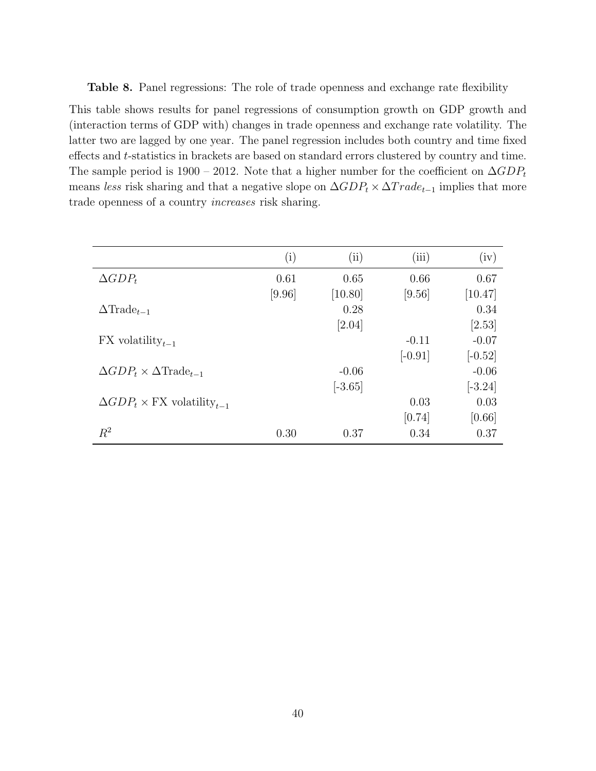<span id="page-42-0"></span>Table 8. Panel regressions: The role of trade openness and exchange rate flexibility

This table shows results for panel regressions of consumption growth on GDP growth and (interaction terms of GDP with) changes in trade openness and exchange rate volatility. The latter two are lagged by one year. The panel regression includes both country and time fixed effects and t-statistics in brackets are based on standard errors clustered by country and time. The sample period is 1900 – 2012. Note that a higher number for the coefficient on  $\Delta GDP_t$ means less risk sharing and that a negative slope on  $\Delta GDP_t \times \Delta Trade_{t-1}$  implies that more trade openness of a country increases risk sharing.

|                                                    | $\rm(i)$ | (ii)      | (iii)     | (iv)      |
|----------------------------------------------------|----------|-----------|-----------|-----------|
| $\Delta GDP_t$                                     | 0.61     | 0.65      | 0.66      | 0.67      |
|                                                    | [9.96]   | [10.80]   | [9.56]    | [10.47]   |
| $\Delta \text{Trade}_{t-1}$                        |          | 0.28      |           | 0.34      |
|                                                    |          | [2.04]    |           | [2.53]    |
| FX volatility $_{t-1}$                             |          |           | $-0.11$   | $-0.07$   |
|                                                    |          |           | $[-0.91]$ | $[-0.52]$ |
| $\Delta GDP_t \times \Delta Trade_{t-1}$           |          | $-0.06$   |           | $-0.06$   |
|                                                    |          | $[-3.65]$ |           | $[-3.24]$ |
| $\Delta GDP_t \times FX$ volatility <sub>t-1</sub> |          |           | 0.03      | 0.03      |
|                                                    |          |           | [0.74]    | [0.66]    |
| $R^2$                                              | 0.30     | 0.37      | 0.34      | 0.37      |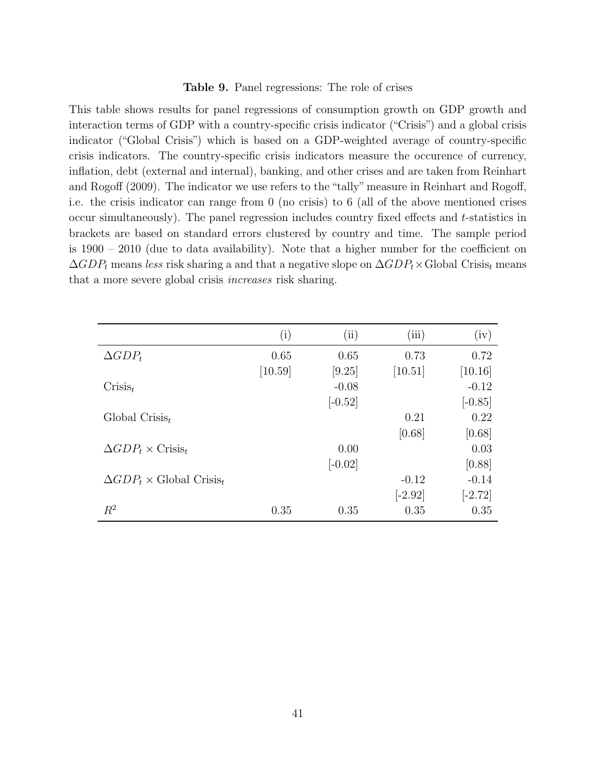#### Table 9. Panel regressions: The role of crises

<span id="page-43-0"></span>This table shows results for panel regressions of consumption growth on GDP growth and interaction terms of GDP with a country-specific crisis indicator ("Crisis") and a global crisis indicator ("Global Crisis") which is based on a GDP-weighted average of country-specific crisis indicators. The country-specific crisis indicators measure the occurence of currency, inflation, debt (external and internal), banking, and other crises and are taken from Reinhart and Rogoff (2009). The indicator we use refers to the "tally" measure in Reinhart and Rogoff, i.e. the crisis indicator can range from 0 (no crisis) to 6 (all of the above mentioned crises occur simultaneously). The panel regression includes country fixed effects and t-statistics in brackets are based on standard errors clustered by country and time. The sample period is  $1900 - 2010$  (due to data availability). Note that a higher number for the coefficient on  $\Delta GDP_t$  means less risk sharing a and that a negative slope on  $\Delta GDP_t \times Global$  Crisis<sub>t</sub> means that a more severe global crisis increases risk sharing.

|                                                  | $\rm(i)$  | (ii)      | (iii)     | (iv)      |
|--------------------------------------------------|-----------|-----------|-----------|-----------|
| $\Delta GDP_t$                                   | 0.65      | 0.65      | 0.73      | 0.72      |
|                                                  | $[10.59]$ | [9.25]    | [10.51]   | [10.16]   |
| $Crisis_t$                                       |           | $-0.08$   |           | $-0.12$   |
|                                                  |           | $[-0.52]$ |           | $[-0.85]$ |
| Global $Crisis_t$                                |           |           | 0.21      | 0.22      |
|                                                  |           |           | [0.68]    | [0.68]    |
| $\Delta GDP_t \times \text{Crisis}_t$            |           | 0.00      |           | 0.03      |
|                                                  |           | $[-0.02]$ |           | [0.88]    |
| $\Delta GDP_t \times Global$ Crisis <sub>t</sub> |           |           | $-0.12$   | $-0.14$   |
|                                                  |           |           | $[-2.92]$ | $[-2.72]$ |
| $R^2$                                            | 0.35      | 0.35      | 0.35      | 0.35      |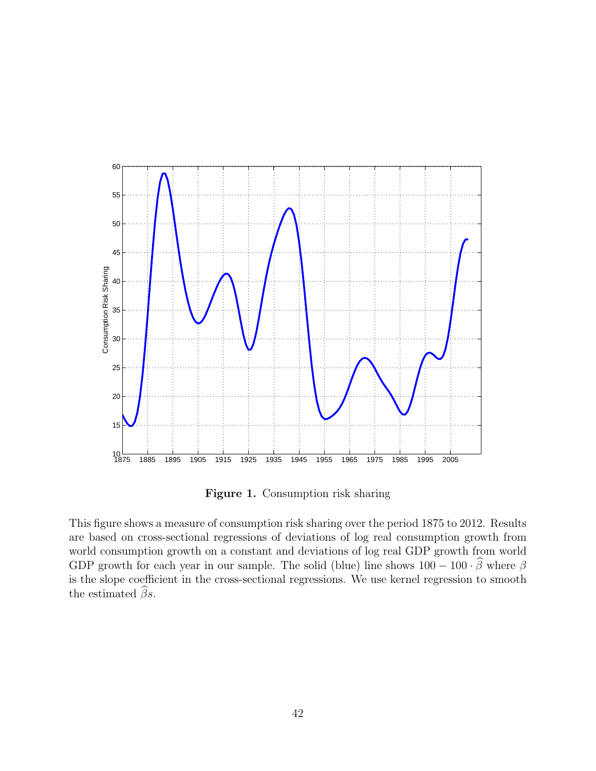<span id="page-44-0"></span>

Figure 1. Consumption risk sharing

This figure shows a measure of consumption risk sharing over the period 1875 to 2012. Results are based on cross-sectional regressions of deviations of log real consumption growth from world consumption growth on a constant and deviations of log real GDP growth from world GDP growth for each year in our sample. The solid (blue) line shows  $100 - 100 \cdot \hat{\beta}$  where  $\beta$ is the slope coefficient in the cross-sectional regressions. We use kernel regression to smooth the estimated  $\widehat{\beta}s$ .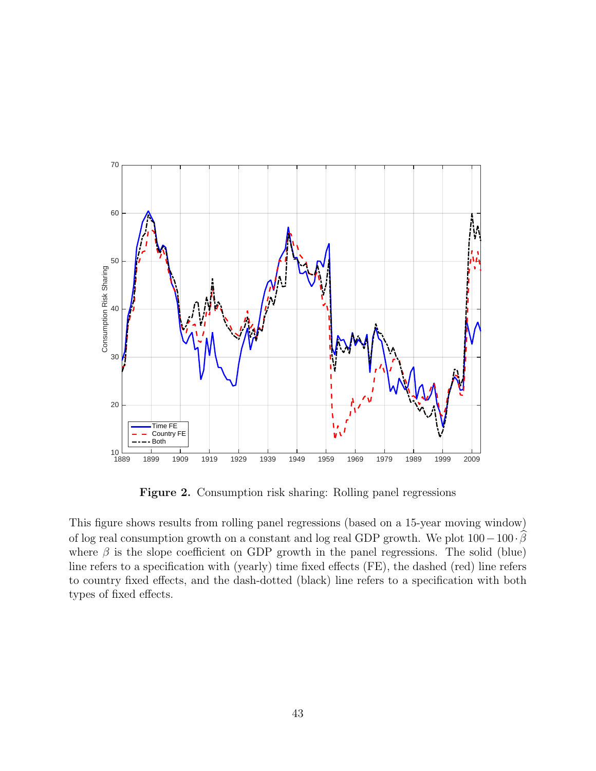<span id="page-45-0"></span>

Figure 2. Consumption risk sharing: Rolling panel regressions

This figure shows results from rolling panel regressions (based on a 15-year moving window) of log real consumption growth on a constant and log real GDP growth. We plot  $100-100\cdot\hat{\beta}$ where  $\beta$  is the slope coefficient on GDP growth in the panel regressions. The solid (blue) line refers to a specification with (yearly) time fixed effects (FE), the dashed (red) line refers to country fixed effects, and the dash-dotted (black) line refers to a specification with both types of fixed effects.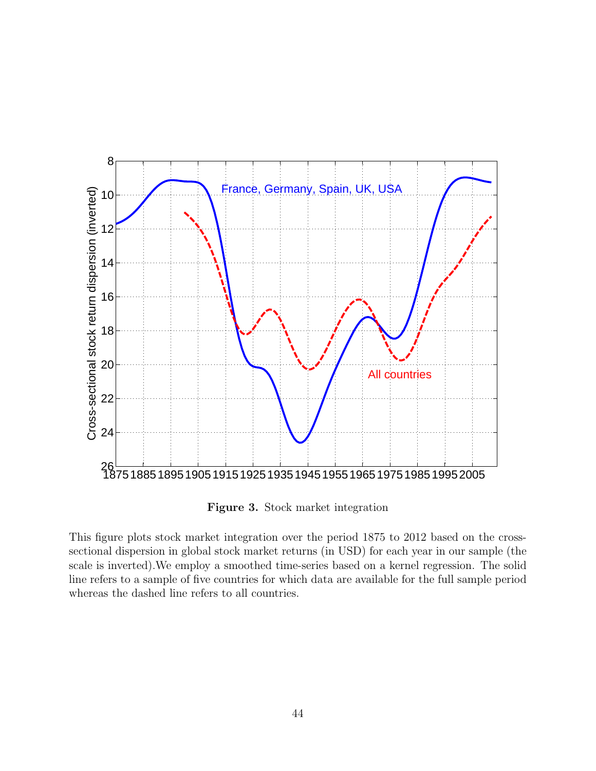<span id="page-46-0"></span>

Figure 3. Stock market integration

This figure plots stock market integration over the period 1875 to 2012 based on the crosssectional dispersion in global stock market returns (in USD) for each year in our sample (the scale is inverted).We employ a smoothed time-series based on a kernel regression. The solid line refers to a sample of five countries for which data are available for the full sample period whereas the dashed line refers to all countries.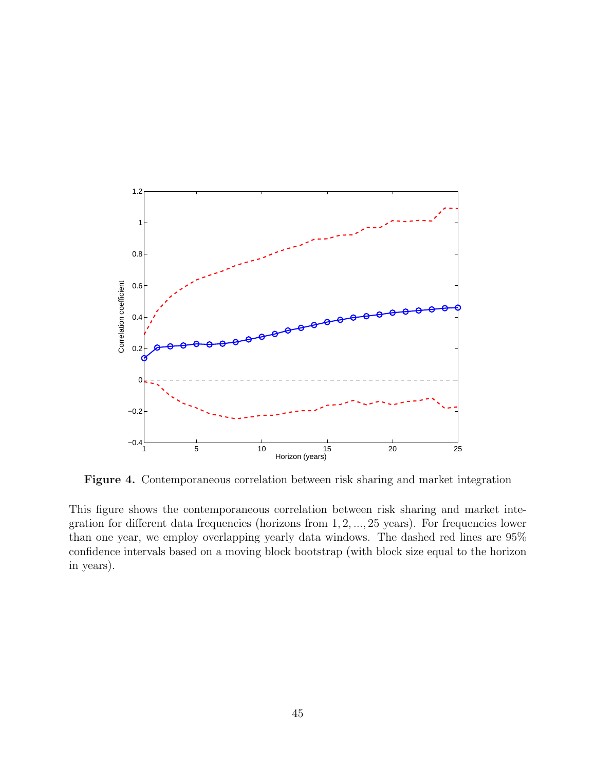<span id="page-47-0"></span>

Figure 4. Contemporaneous correlation between risk sharing and market integration

This figure shows the contemporaneous correlation between risk sharing and market integration for different data frequencies (horizons from 1, 2, ..., 25 years). For frequencies lower than one year, we employ overlapping yearly data windows. The dashed red lines are 95% confidence intervals based on a moving block bootstrap (with block size equal to the horizon in years).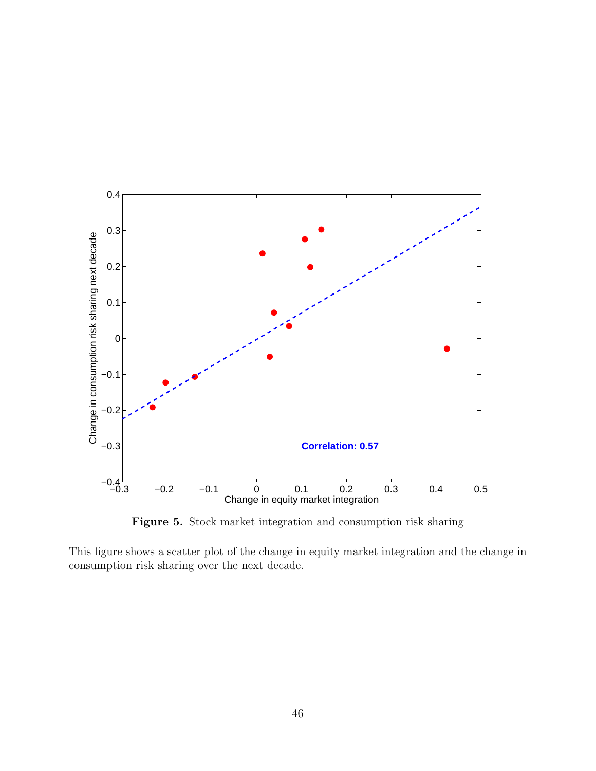<span id="page-48-0"></span>

Figure 5. Stock market integration and consumption risk sharing

This figure shows a scatter plot of the change in equity market integration and the change in consumption risk sharing over the next decade.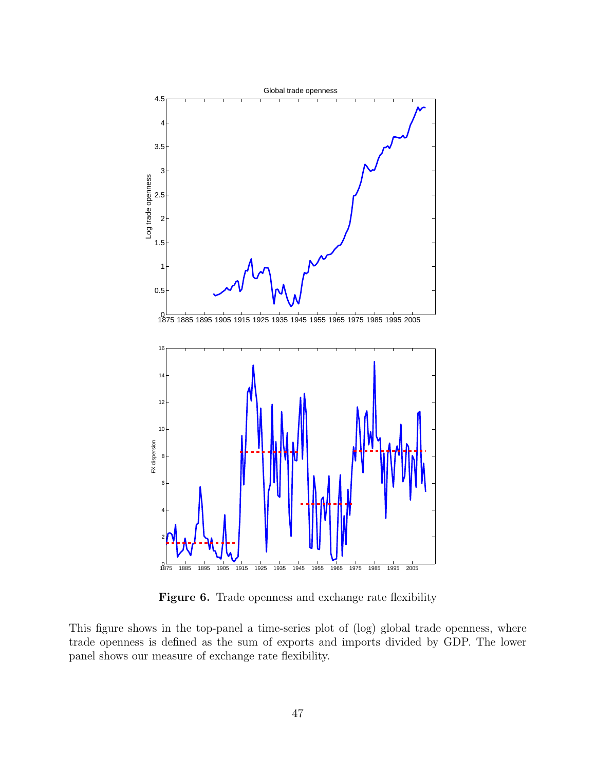<span id="page-49-0"></span>

Figure 6. Trade openness and exchange rate flexibility

This figure shows in the top-panel a time-series plot of (log) global trade openness, where trade openness is defined as the sum of exports and imports divided by GDP. The lower panel shows our measure of exchange rate flexibility.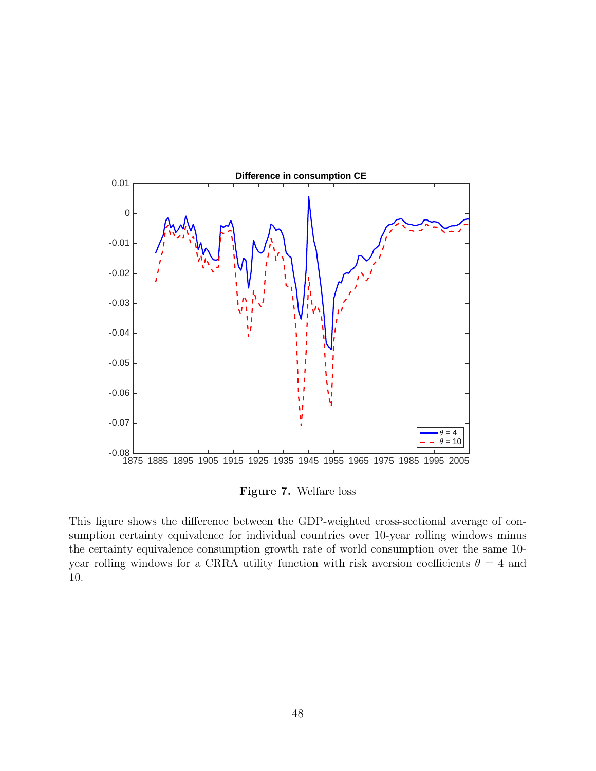<span id="page-50-0"></span>![](_page_50_Figure_0.jpeg)

Figure 7. Welfare loss

This figure shows the difference between the GDP-weighted cross-sectional average of consumption certainty equivalence for individual countries over 10-year rolling windows minus the certainty equivalence consumption growth rate of world consumption over the same 10 year rolling windows for a CRRA utility function with risk aversion coefficients  $\theta = 4$  and 10.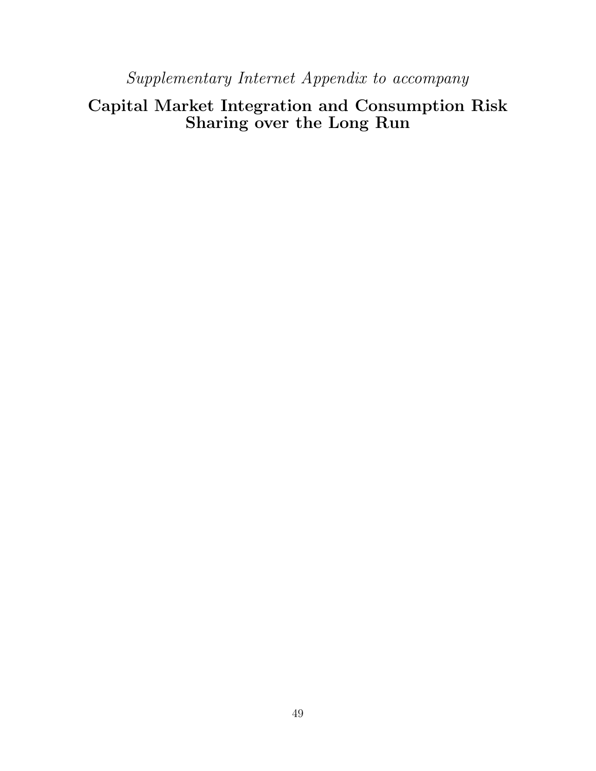Supplementary Internet Appendix to accompany

# Capital Market Integration and Consumption Risk Sharing over the Long Run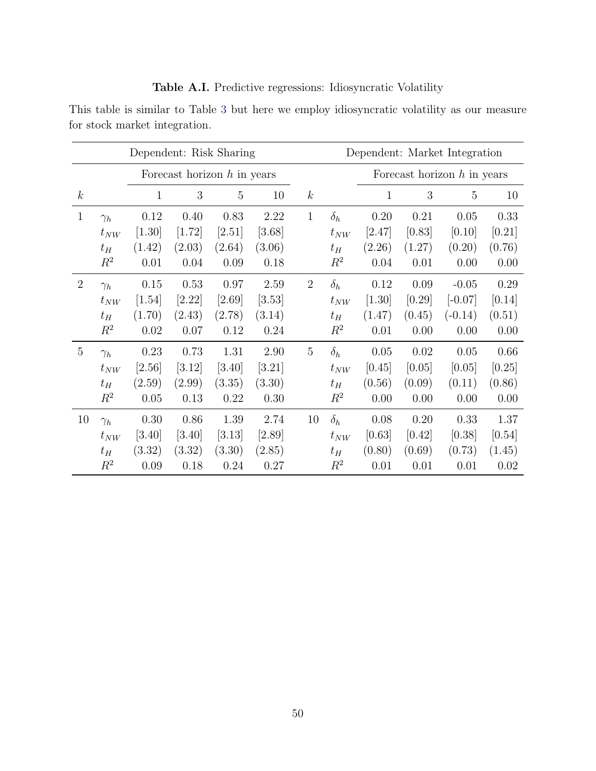|                  |            |              |        | Dependent: Risk Sharing       |        |                  |            |          |        | Dependent: Market Integration |        |
|------------------|------------|--------------|--------|-------------------------------|--------|------------------|------------|----------|--------|-------------------------------|--------|
|                  |            |              |        | Forecast horizon $h$ in years |        |                  |            |          |        | Forecast horizon $h$ in years |        |
| $\boldsymbol{k}$ |            | $\mathbf{1}$ | 3      | 5                             | 10     | $\boldsymbol{k}$ |            | 1        | 3      | 5                             | 10     |
| $\mathbf{1}$     | $\gamma_h$ | 0.12         | 0.40   | 0.83                          | 2.22   | $\mathbf{1}$     | $\delta_h$ | 0.20     | 0.21   | 0.05                          | 0.33   |
|                  | $t_{NW}$   | [1.30]       | [1.72] | [2.51]                        | [3.68] |                  | $t_{NW}$   | [2.47]   | [0.83] | [0.10]                        | [0.21] |
|                  | $t_H$      | (1.42)       | (2.03) | (2.64)                        | (3.06) |                  | $t_H$      | (2.26)   | (1.27) | (0.20)                        | (0.76) |
|                  | $R^2$      | 0.01         | 0.04   | 0.09                          | 0.18   |                  | $R^2$      | 0.04     | 0.01   | 0.00                          | 0.00   |
| $\overline{2}$   | $\gamma_h$ | 0.15         | 0.53   | 0.97                          | 2.59   | $\overline{2}$   | $\delta_h$ | 0.12     | 0.09   | $-0.05$                       | 0.29   |
|                  | $t_{NW}$   | [1.54]       | [2.22] | [2.69]                        | [3.53] |                  | $t_{NW}$   | $[1.30]$ | [0.29] | $[-0.07]$                     | [0.14] |
|                  | $t_H$      | (1.70)       | (2.43) | (2.78)                        | (3.14) |                  | $t_H$      | (1.47)   | (0.45) | $(-0.14)$                     | (0.51) |
|                  | $R^2$      | 0.02         | 0.07   | 0.12                          | 0.24   |                  | $R^2$      | 0.01     | 0.00   | 0.00                          | 0.00   |
| $\overline{5}$   | $\gamma_h$ | 0.23         | 0.73   | 1.31                          | 2.90   | $\overline{5}$   | $\delta_h$ | 0.05     | 0.02   | 0.05                          | 0.66   |
|                  | $t_{NW}$   | [2.56]       | [3.12] | [3.40]                        | [3.21] |                  | $t_{NW}$   | [0.45]   | [0.05] | [0.05]                        | [0.25] |
|                  | $t_H$      | (2.59)       | (2.99) | (3.35)                        | (3.30) |                  | $t_H$      | (0.56)   | (0.09) | (0.11)                        | (0.86) |
|                  | $R^2$      | 0.05         | 0.13   | 0.22                          | 0.30   |                  | $R^2$      | 0.00     | 0.00   | 0.00                          | 0.00   |
| 10               | $\gamma_h$ | 0.30         | 0.86   | 1.39                          | 2.74   | 10               | $\delta_h$ | 0.08     | 0.20   | 0.33                          | 1.37   |
|                  | $t_{NW}$   | [3.40]       | [3.40] | [3.13]                        | [2.89] |                  | $t_{NW}$   | [0.63]   | [0.42] | [0.38]                        | [0.54] |
|                  | $t_H$      | (3.32)       | (3.32) | (3.30)                        | (2.85) |                  | $t_H$      | (0.80)   | (0.69) | (0.73)                        | (1.45) |
|                  | $R^2$      | 0.09         | 0.18   | 0.24                          | 0.27   |                  | $R^2$      | 0.01     | 0.01   | 0.01                          | 0.02   |

Table A.I. Predictive regressions: Idiosyncratic Volatility

<span id="page-52-0"></span>This table is similar to Table [3](#page-37-0) but here we employ idiosyncratic volatility as our measure for stock market integration.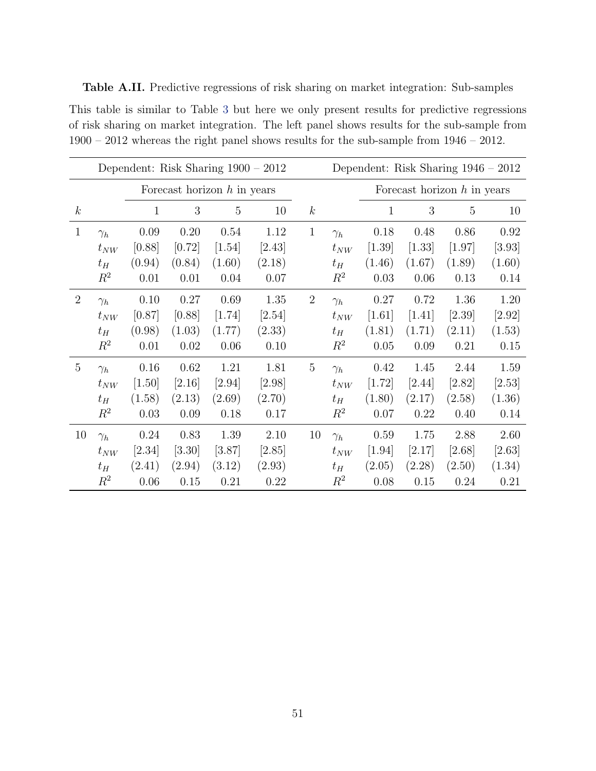|                  |            |             |        | Dependent: Risk Sharing $1900 - 2012$ |          |                  |            |          |        | Dependent: Risk Sharing $1946 - 2012$ |          |
|------------------|------------|-------------|--------|---------------------------------------|----------|------------------|------------|----------|--------|---------------------------------------|----------|
|                  |            |             |        | Forecast horizon $h$ in years         |          |                  |            |          |        | Forecast horizon $h$ in years         |          |
| $\boldsymbol{k}$ |            | $\mathbf 1$ | 3      | $\overline{5}$                        | 10       | $\boldsymbol{k}$ |            | 1        | 3      | 5                                     | 10       |
| $\mathbf{1}$     | $\gamma_h$ | 0.09        | 0.20   | 0.54                                  | 1.12     | $\mathbf{1}$     | $\gamma_h$ | 0.18     | 0.48   | 0.86                                  | 0.92     |
|                  | $t_{NW}$   | [0.88]      | [0.72] | [1.54]                                | [2.43]   |                  | $t_{NW}$   | $[1.39]$ | [1.33] | $[1.97]$                              | [3.93]   |
|                  | $t_H$      | (0.94)      | (0.84) | (1.60)                                | (2.18)   |                  | $t_H$      | (1.46)   | (1.67) | (1.89)                                | (1.60)   |
|                  | $R^2$      | 0.01        | 0.01   | 0.04                                  | 0.07     |                  | $R^2$      | 0.03     | 0.06   | 0.13                                  | 0.14     |
| $\overline{2}$   | $\gamma_h$ | 0.10        | 0.27   | 0.69                                  | 1.35     | $\overline{2}$   | $\gamma_h$ | 0.27     | 0.72   | 1.36                                  | 1.20     |
|                  | $t_{NW}$   | [0.87]      | [0.88] | [1.74]                                | $[2.54]$ |                  | $t_{NW}$   | $[1.61]$ | [1.41] | [2.39]                                | [2.92]   |
|                  | $t_H$      | (0.98)      | (1.03) | (1.77)                                | (2.33)   |                  | $t_H$      | (1.81)   | (1.71) | (2.11)                                | (1.53)   |
|                  | $R^2$      | 0.01        | 0.02   | 0.06                                  | 0.10     |                  | $\,R^2$    | 0.05     | 0.09   | 0.21                                  | 0.15     |
| $\overline{5}$   | $\gamma_h$ | 0.16        | 0.62   | 1.21                                  | 1.81     | 5                | $\gamma_h$ | 0.42     | 1.45   | 2.44                                  | 1.59     |
|                  | $t_{NW}$   | [1.50]      | [2.16] | $[2.94]$                              | [2.98]   |                  | $t_{NW}$   | [1.72]   | [2.44] | [2.82]                                | [2.53]   |
|                  | $t_H$      | (1.58)      | (2.13) | (2.69)                                | (2.70)   |                  | $t_H$      | (1.80)   | (2.17) | (2.58)                                | (1.36)   |
|                  | $R^2$      | 0.03        | 0.09   | 0.18                                  | 0.17     |                  | $R^2$      | 0.07     | 0.22   | 0.40                                  | 0.14     |
| 10               | $\gamma_h$ | 0.24        | 0.83   | 1.39                                  | 2.10     | 10               | $\gamma_h$ | 0.59     | 1.75   | 2.88                                  | 2.60     |
|                  | $t_{NW}$   | [2.34]      | [3.30] | [3.87]                                | [2.85]   |                  | $t_{NW}$   | [1.94]   | [2.17] | [2.68]                                | $[2.63]$ |
|                  | $t_H$      | (2.41)      | (2.94) | (3.12)                                | (2.93)   |                  | $t_H$      | (2.05)   | (2.28) | (2.50)                                | (1.34)   |
|                  | $R^2$      | 0.06        | 0.15   | 0.21                                  | 0.22     |                  | $\,R^2$    | 0.08     | 0.15   | 0.24                                  | 0.21     |

<span id="page-53-0"></span>Table A.II. Predictive regressions of risk sharing on market integration: Sub-samples

This table is similar to Table [3](#page-37-0) but here we only present results for predictive regressions of risk sharing on market integration. The left panel shows results for the sub-sample from 1900 – 2012 whereas the right panel shows results for the sub-sample from 1946 – 2012.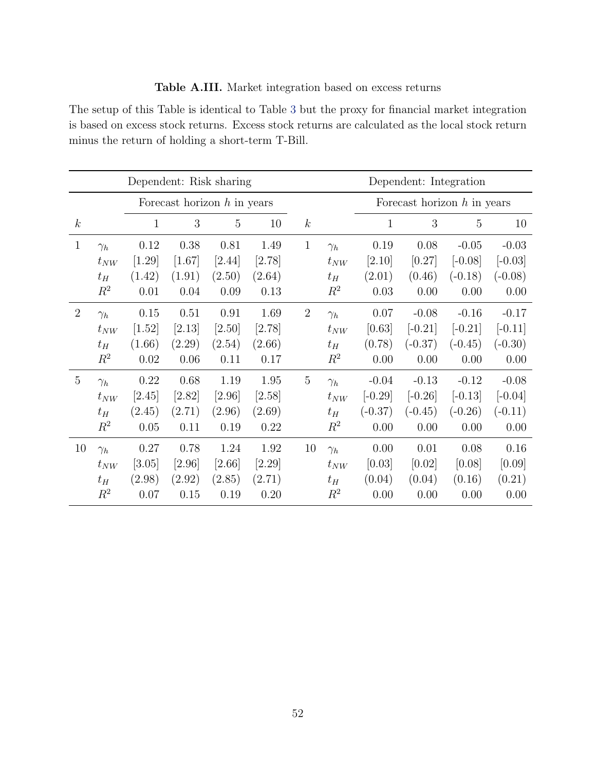|                  |            |        |        | Dependent: Risk sharing       |        |                  |            |              | Dependent: Integration |                               |           |
|------------------|------------|--------|--------|-------------------------------|--------|------------------|------------|--------------|------------------------|-------------------------------|-----------|
|                  |            |        |        | Forecast horizon $h$ in years |        |                  |            |              |                        | Forecast horizon $h$ in years |           |
| $\boldsymbol{k}$ |            | 1      | 3      | 5                             | 10     | $\boldsymbol{k}$ |            | $\mathbf{1}$ | 3                      | $\overline{5}$                | 10        |
| $\mathbf 1$      | $\gamma_h$ | 0.12   | 0.38   | 0.81                          | 1.49   | $\mathbf{1}$     | $\gamma_h$ | 0.19         | 0.08                   | $-0.05$                       | $-0.03$   |
|                  | $t_{NW}$   | [1.29] | [1.67] | [2.44]                        | [2.78] |                  | $t_{NW}$   | [2.10]       | [0.27]                 | $[-0.08]$                     | $[-0.03]$ |
|                  | $t_H$      | (1.42) | (1.91) | (2.50)                        | (2.64) |                  | $t_H$      | (2.01)       | (0.46)                 | $(-0.18)$                     | $(-0.08)$ |
|                  | $R^2$      | 0.01   | 0.04   | 0.09                          | 0.13   |                  | $R^2$      | 0.03         | 0.00                   | 0.00                          | 0.00      |
| 2                | $\gamma_h$ | 0.15   | 0.51   | 0.91                          | 1.69   | $\overline{2}$   | $\gamma_h$ | 0.07         | $-0.08$                | $-0.16$                       | $-0.17$   |
|                  | $t_{NW}$   | [1.52] | [2.13] | $[2.50]$                      | [2.78] |                  | $t_{NW}$   | [0.63]       | $[-0.21]$              | $[-0.21]$                     | $[-0.11]$ |
|                  | $t_H$      | (1.66) | (2.29) | (2.54)                        | (2.66) |                  | $t_H$      | (0.78)       | $(-0.37)$              | $(-0.45)$                     | $(-0.30)$ |
|                  | $R^2$      | 0.02   | 0.06   | 0.11                          | 0.17   |                  | $R^2$      | 0.00         | 0.00                   | 0.00                          | 0.00      |
| $\overline{5}$   | $\gamma_h$ | 0.22   | 0.68   | 1.19                          | 1.95   | 5                | $\gamma_h$ | $-0.04$      | $-0.13$                | $-0.12$                       | $-0.08$   |
|                  | $t_{NW}$   | [2.45] | [2.82] | $[2.96]$                      | [2.58] |                  | $t_{NW}$   | $[-0.29]$    | $[-0.26]$              | $[-0.13]$                     | $[-0.04]$ |
|                  | $t_H$      | (2.45) | (2.71) | (2.96)                        | (2.69) |                  | $t_H$      | $(-0.37)$    | $(-0.45)$              | $(-0.26)$                     | $(-0.11)$ |
|                  | $R^2$      | 0.05   | 0.11   | 0.19                          | 0.22   |                  | $R^2$      | 0.00         | 0.00                   | 0.00                          | 0.00      |
| 10               | $\gamma_h$ | 0.27   | 0.78   | 1.24                          | 1.92   | 10               | $\gamma_h$ | 0.00         | 0.01                   | 0.08                          | 0.16      |
|                  | $t_{NW}$   | [3.05] | [2.96] | $[2.66]$                      | [2.29] |                  | $t_{NW}$   | [0.03]       | [0.02]                 | [0.08]                        | [0.09]    |
|                  | $t_H$      | (2.98) | (2.92) | (2.85)                        | (2.71) |                  | $t_H$      | (0.04)       | (0.04)                 | (0.16)                        | (0.21)    |
|                  | $R^2$      | 0.07   | 0.15   | 0.19                          | 0.20   |                  | $R^2$      | 0.00         | 0.00                   | 0.00                          | 0.00      |

# Table A.III. Market integration based on excess returns

<span id="page-54-0"></span>The setup of this Table is identical to Table [3](#page-37-0) but the proxy for financial market integration is based on excess stock returns. Excess stock returns are calculated as the local stock return minus the return of holding a short-term T-Bill.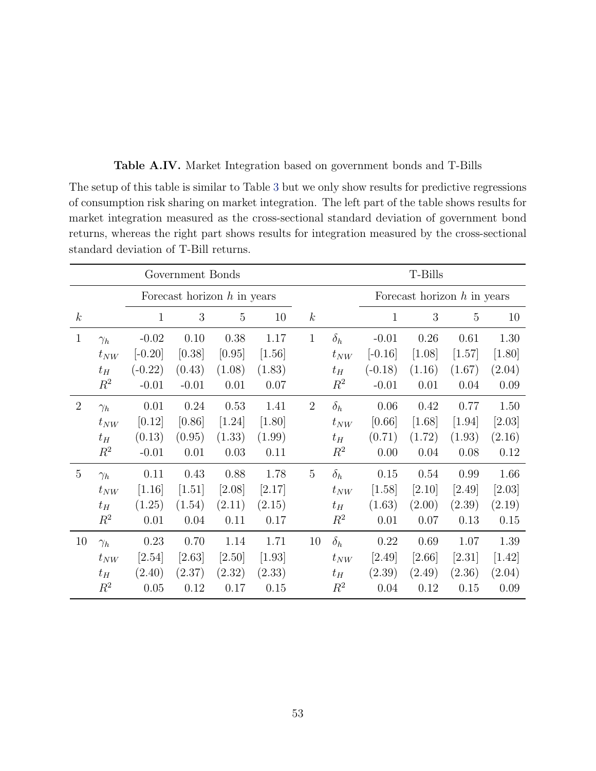Table A.IV. Market Integration based on government bonds and T-Bills

<span id="page-55-0"></span>The setup of this table is similar to Table [3](#page-37-0) but we only show results for predictive regressions of consumption risk sharing on market integration. The left part of the table shows results for market integration measured as the cross-sectional standard deviation of government bond returns, whereas the right part shows results for integration measured by the cross-sectional standard deviation of T-Bill returns.

|                  | Government Bonds              |           |         |                |          |                  | T-Bills        |                               |        |          |          |
|------------------|-------------------------------|-----------|---------|----------------|----------|------------------|----------------|-------------------------------|--------|----------|----------|
|                  | Forecast horizon $h$ in years |           |         |                |          |                  |                | Forecast horizon $h$ in years |        |          |          |
| $\boldsymbol{k}$ |                               | 1         | 3       | $\overline{5}$ | 10       | $\boldsymbol{k}$ |                | $\mathbf{1}$                  | 3      | 5        | 10       |
| $\mathbf{1}$     | $\gamma_h$                    | $-0.02$   | 0.10    | 0.38           | 1.17     | $\mathbf{1}$     | $\delta_h$     | $-0.01$                       | 0.26   | 0.61     | 1.30     |
|                  | $t_{NW}$                      | $[-0.20]$ | [0.38]  | [0.95]         | $[1.56]$ |                  | $t_{NW}$       | $[-0.16]$                     | [1.08] | [1.57]   | $[1.80]$ |
|                  | $t_H$                         | $(-0.22)$ | (0.43)  | (1.08)         | (1.83)   |                  | $t_H$          | $(-0.18)$                     | (1.16) | (1.67)   | (2.04)   |
|                  | $\mathbb{R}^2$                | $-0.01$   | $-0.01$ | 0.01           | 0.07     |                  | $R^2$          | $-0.01$                       | 0.01   | 0.04     | 0.09     |
| $\overline{2}$   | $\gamma_h$                    | 0.01      | 0.24    | 0.53           | 1.41     | $\overline{2}$   | $\delta_h$     | 0.06                          | 0.42   | 0.77     | 1.50     |
|                  | $t_{NW}$                      | [0.12]    | [0.86]  | $[1.24]$       | $[1.80]$ |                  | $t_{NW}$       | [0.66]                        | [1.68] | $[1.94]$ | $[2.03]$ |
|                  | $t_H$                         | (0.13)    | (0.95)  | (1.33)         | (1.99)   |                  | $t_H$          | (0.71)                        | (1.72) | (1.93)   | (2.16)   |
|                  | $R^2$                         | $-0.01$   | 0.01    | 0.03           | 0.11     |                  | $R^2$          | 0.00                          | 0.04   | 0.08     | 0.12     |
| $\overline{5}$   | $\gamma_h$                    | 0.11      | 0.43    | 0.88           | 1.78     | $\overline{5}$   | $\delta_h$     | 0.15                          | 0.54   | 0.99     | 1.66     |
|                  | $t_{NW}$                      | [1.16]    | [1.51]  | [2.08]         | [2.17]   |                  | $t_{NW}$       | [1.58]                        | [2.10] | [2.49]   | [2.03]   |
|                  | $t_H$                         | (1.25)    | (1.54)  | (2.11)         | (2.15)   |                  | $t_H$          | (1.63)                        | (2.00) | (2.39)   | (2.19)   |
|                  | $R^2$                         | 0.01      | 0.04    | 0.11           | 0.17     |                  | $\mathbb{R}^2$ | 0.01                          | 0.07   | 0.13     | 0.15     |
| 10               | $\gamma_h$                    | 0.23      | 0.70    | 1.14           | 1.71     | 10               | $\delta_h$     | 0.22                          | 0.69   | 1.07     | 1.39     |
|                  | $t_{NW}$                      | [2.54]    | [2.63]  | [2.50]         | $[1.93]$ |                  | $t_{NW}$       | [2.49]                        | [2.66] | $[2.31]$ | [1.42]   |
|                  | $t_H$                         | (2.40)    | (2.37)  | (2.32)         | (2.33)   |                  | $t_H$          | (2.39)                        | (2.49) | (2.36)   | (2.04)   |
|                  | $R^2$                         | 0.05      | 0.12    | 0.17           | 0.15     |                  | $R^2$          | 0.04                          | 0.12   | 0.15     | 0.09     |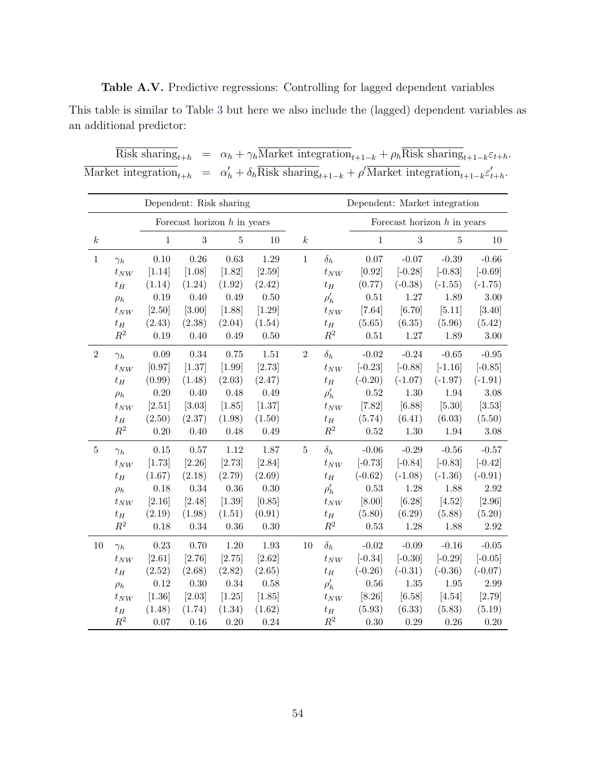<span id="page-56-0"></span>Table A.V. Predictive regressions: Controlling for lagged dependent variables

This table is similar to Table [3](#page-37-0) but here we also include the (lagged) dependent variables as an additional predictor:

|                  | Dependent: Risk sharing |                               |          |                |          |                  |                               | Dependent: Market integration |            |                |           |  |
|------------------|-------------------------|-------------------------------|----------|----------------|----------|------------------|-------------------------------|-------------------------------|------------|----------------|-----------|--|
|                  |                         | Forecast horizon $h$ in years |          |                |          |                  | Forecast horizon $h$ in years |                               |            |                |           |  |
| $\boldsymbol{k}$ |                         | $\,1\,$                       | 3        | $\overline{5}$ | 10       | $\boldsymbol{k}$ |                               | $\mathbf{1}$                  | $\sqrt{3}$ | $\overline{5}$ | $10\,$    |  |
| $\,1\,$          | $\gamma_h$              | 0.10                          | 0.26     | 0.63           | 1.29     | $\mathbf{1}$     | $\delta_h$                    | 0.07                          | $-0.07$    | $-0.39$        | $-0.66$   |  |
|                  | $t_{NW}$                | $[1.14]$                      | [1.08]   | [1.82]         | [2.59]   |                  | $t_{NW}$                      | [0.92]                        | $[-0.28]$  | $[-0.83]$      | $[-0.69]$ |  |
|                  | $t_H$                   | (1.14)                        | (1.24)   | (1.92)         | (2.42)   |                  | $t_H\,$                       | (0.77)                        | $(-0.38)$  | $(-1.55)$      | $(-1.75)$ |  |
|                  | $\rho_h$                | 0.19                          | $0.40\,$ | 0.49           | $0.50\,$ |                  | $\rho'_h$                     | $0.51\,$                      | 1.27       | 1.89           | $3.00\,$  |  |
|                  | $t_{NW}$                | $[2.50]$                      | $[3.00]$ | [1.88]         | $[1.29]$ |                  | $t_{NW}$                      | $[7.64]$                      | $[6.70]$   | [5.11]         | $[3.40]$  |  |
|                  | $t_H$                   | (2.43)                        | (2.38)   | (2.04)         | (1.54)   |                  | $t_H$                         | (5.65)                        | (6.35)     | (5.96)         | (5.42)    |  |
|                  | $\mathbb{R}^2$          | 0.19                          | $0.40\,$ | 0.49           | 0.50     |                  | $\mathbb{R}^2$                | 0.51                          | $1.27\,$   | 1.89           | $3.00\,$  |  |
| $\overline{2}$   | $\gamma_h$              | 0.09                          | 0.34     | 0.75           | 1.51     | $\overline{2}$   | $\delta_h$                    | $-0.02$                       | $-0.24$    | $-0.65$        | $-0.95$   |  |
|                  | $t_{NW}$                | [0.97]                        | [1.37]   | $[1.99]$       | [2.73]   |                  | $t_{NW}$                      | $[-0.23]$                     | $[-0.88]$  | $[-1.16]$      | $[-0.85]$ |  |
|                  | $t_H$                   | (0.99)                        | (1.48)   | (2.03)         | (2.47)   |                  | $t_H$                         | $(-0.20)$                     | $(-1.07)$  | $(-1.97)$      | $(-1.91)$ |  |
|                  | $\rho_h$                | 0.20                          | $0.40\,$ | 0.48           | 0.49     |                  | $\rho'_h$                     | 0.52                          | $1.30\,$   | 1.94           | $3.08\,$  |  |
|                  | $t_{NW}$                | [2.51]                        | [3.03]   | [1.85]         | $[1.37]$ |                  | $t_{NW}$                      | $[7.82]$                      | [6.88]     | [5.30]         | $[3.53]$  |  |
|                  | $t_H$                   | (2.50)                        | (2.37)   | (1.98)         | (1.50)   |                  | $t_H\,$                       | (5.74)                        | (6.41)     | (6.03)         | (5.50)    |  |
|                  | $R^2$                   | 0.20                          | 0.40     | 0.48           | 0.49     |                  | $\mathbb{R}^2$                | 0.52                          | 1.30       | 1.94           | $3.08\,$  |  |
| $\bf 5$          | $\gamma_h$              | $0.15\,$                      | $0.57\,$ | $1.12\,$       | 1.87     | $\bf 5$          | $\delta_h$                    | $-0.06$                       | $-0.29$    | $-0.56$        | $-0.57$   |  |
|                  | $t_{NW}$                | [1.73]                        | [2.26]   | [2.73]         | [2.84]   |                  | $t_{NW}$                      | $[-0.73]$                     | $[-0.84]$  | $[-0.83]$      | $[-0.42]$ |  |
|                  | $t_H$                   | (1.67)                        | (2.18)   | (2.79)         | (2.69)   |                  | $t_H$                         | $(-0.62)$                     | $(-1.08)$  | $(-1.36)$      | $(-0.91)$ |  |
|                  | $\rho_h$                | 0.18                          | 0.34     | $0.36\,$       | $0.30\,$ |                  | $\rho'_h$                     | 0.53                          | 1.28       | 1.88           | $2.92\,$  |  |
|                  | $t_{NW}$                | [2.16]                        | [2.48]   | $[1.39]$       | [0.85]   |                  | $t_{NW}$                      | [8.00]                        | [6.28]     | [4.52]         | [2.96]    |  |
|                  | $t_H$                   | (2.19)                        | (1.98)   | (1.51)         | (0.91)   |                  | $t_H$                         | (5.80)                        | (6.29)     | (5.88)         | (5.20)    |  |
|                  | $\mathbb{R}^2$          | 0.18                          | $0.34\,$ | 0.36           | 0.30     |                  | $\mathbb{R}^2$                | 0.53                          | 1.28       | 1.88           | 2.92      |  |
| 10               | $\gamma_h$              | 0.23                          | 0.70     | $1.20\,$       | 1.93     | 10               | $\delta_h$                    | $-0.02$                       | $-0.09$    | $-0.16$        | $-0.05$   |  |
|                  | $t_{NW}$                | [2.61]                        | [2.76]   | [2.75]         | [2.62]   |                  | $t_{NW}$                      | $[-0.34]$                     | $[-0.30]$  | $[-0.29]$      | $[-0.05]$ |  |
|                  | $t_H$                   | (2.52)                        | (2.68)   | (2.82)         | (2.65)   |                  | $t_H\,$                       | $(-0.26)$                     | $(-0.31)$  | $(-0.36)$      | $(-0.07)$ |  |
|                  | $\rho_h$                | $0.12\,$                      | $0.30\,$ | $0.34\,$       | $0.58\,$ |                  | $\rho'_h$                     | $0.56\,$                      | $1.35\,$   | $1.95\,$       | $2.99\,$  |  |
|                  | $t_{NW}$                | $[1.36]$                      | [2.03]   | [1.25]         | [1.85]   |                  | $t_{NW}$                      | [8.26]                        | [6.58]     | [4.54]         | [2.79]    |  |
|                  | $t_H$                   | (1.48)                        | (1.74)   | (1.34)         | (1.62)   |                  | $t_{\cal H}$                  | (5.93)                        | (6.33)     | (5.83)         | (5.19)    |  |
|                  | $R^2$                   | 0.07                          | $0.16\,$ | 0.20           | 0.24     |                  | $R^2$                         | 0.30                          | 0.29       | 0.26           | $0.20\,$  |  |

|  | Risk sharing <sub>t+h</sub> = $\alpha_h + \gamma_h$ Market integration <sub>t+1-k</sub> + $\rho_h$ Risk sharing <sub>t+1-k</sub> $\varepsilon_{t+h}$ .                      |
|--|-----------------------------------------------------------------------------------------------------------------------------------------------------------------------------|
|  | Market integration <sub>t+h</sub> = $\alpha'_h + \delta_h \overline{\text{Risk sharing}}_{t+1-k} + \rho' \overline{\text{Market integration}}_{t+1-k} \varepsilon'_{t+h}$ . |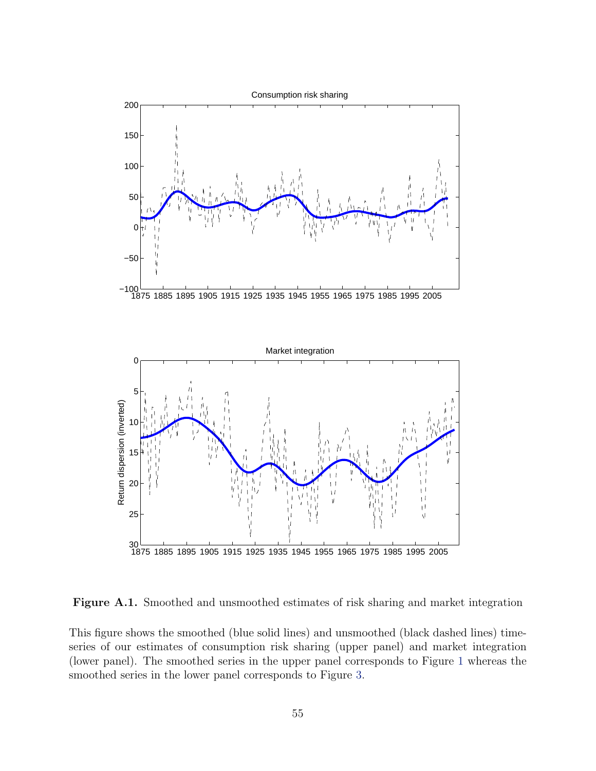<span id="page-57-0"></span>![](_page_57_Figure_0.jpeg)

Figure A.1. Smoothed and unsmoothed estimates of risk sharing and market integration

This figure shows the smoothed (blue solid lines) and unsmoothed (black dashed lines) timeseries of our estimates of consumption risk sharing (upper panel) and market integration (lower panel). The smoothed series in the upper panel corresponds to Figure [1](#page-44-0) whereas the smoothed series in the lower panel corresponds to Figure [3.](#page-46-0)